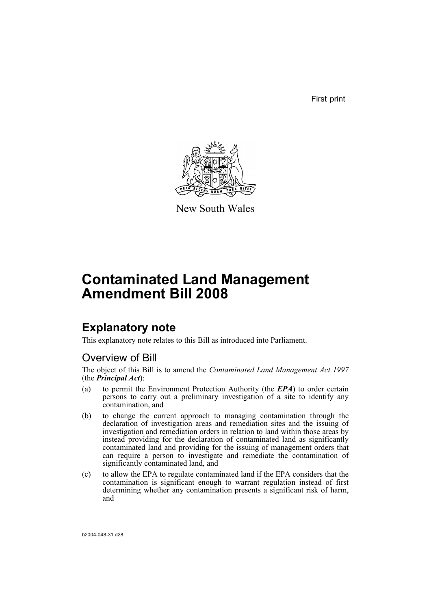First print



New South Wales

# **Contaminated Land Management Amendment Bill 2008**

# **Explanatory note**

This explanatory note relates to this Bill as introduced into Parliament.

## Overview of Bill

The object of this Bill is to amend the *Contaminated Land Management Act 1997* (the *Principal Act*):

- (a) to permit the Environment Protection Authority (the *EPA*) to order certain persons to carry out a preliminary investigation of a site to identify any contamination, and
- (b) to change the current approach to managing contamination through the declaration of investigation areas and remediation sites and the issuing of investigation and remediation orders in relation to land within those areas by instead providing for the declaration of contaminated land as significantly contaminated land and providing for the issuing of management orders that can require a person to investigate and remediate the contamination of significantly contaminated land, and
- (c) to allow the EPA to regulate contaminated land if the EPA considers that the contamination is significant enough to warrant regulation instead of first determining whether any contamination presents a significant risk of harm, and

b2004-048-31.d28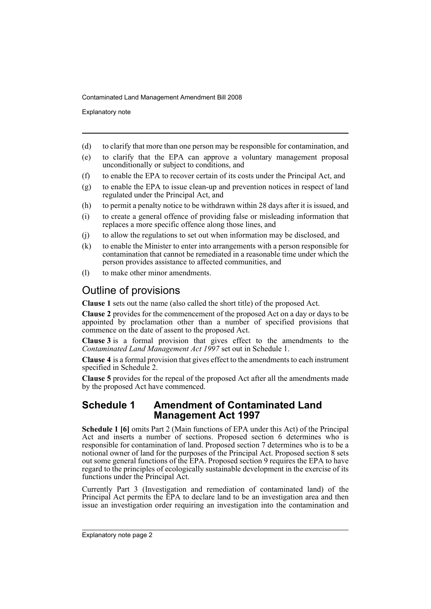Explanatory note

- (d) to clarify that more than one person may be responsible for contamination, and
- (e) to clarify that the EPA can approve a voluntary management proposal unconditionally or subject to conditions, and
- (f) to enable the EPA to recover certain of its costs under the Principal Act, and
- (g) to enable the EPA to issue clean-up and prevention notices in respect of land regulated under the Principal Act, and
- (h) to permit a penalty notice to be withdrawn within 28 days after it is issued, and
- (i) to create a general offence of providing false or misleading information that replaces a more specific offence along those lines, and
- (j) to allow the regulations to set out when information may be disclosed, and
- (k) to enable the Minister to enter into arrangements with a person responsible for contamination that cannot be remediated in a reasonable time under which the person provides assistance to affected communities, and
- (l) to make other minor amendments.

## Outline of provisions

**Clause 1** sets out the name (also called the short title) of the proposed Act.

**Clause 2** provides for the commencement of the proposed Act on a day or days to be appointed by proclamation other than a number of specified provisions that commence on the date of assent to the proposed Act.

**Clause 3** is a formal provision that gives effect to the amendments to the *Contaminated Land Management Act 1997* set out in Schedule 1.

**Clause 4** is a formal provision that gives effect to the amendments to each instrument specified in Schedule 2.

**Clause 5** provides for the repeal of the proposed Act after all the amendments made by the proposed Act have commenced.

### **Schedule 1 Amendment of Contaminated Land Management Act 1997**

**Schedule 1 [6]** omits Part 2 (Main functions of EPA under this Act) of the Principal Act and inserts a number of sections. Proposed section 6 determines who is responsible for contamination of land. Proposed section 7 determines who is to be a notional owner of land for the purposes of the Principal Act. Proposed section 8 sets out some general functions of the EPA. Proposed section 9 requires the EPA to have regard to the principles of ecologically sustainable development in the exercise of its functions under the Principal Act.

Currently Part 3 (Investigation and remediation of contaminated land) of the Principal Act permits the EPA to declare land to be an investigation area and then issue an investigation order requiring an investigation into the contamination and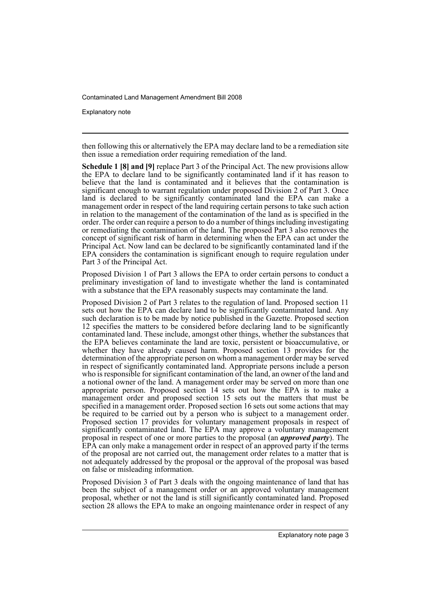Explanatory note

then following this or alternatively the EPA may declare land to be a remediation site then issue a remediation order requiring remediation of the land.

**Schedule 1 [8] and [9]** replace Part 3 of the Principal Act. The new provisions allow the EPA to declare land to be significantly contaminated land if it has reason to believe that the land is contaminated and it believes that the contamination is significant enough to warrant regulation under proposed Division 2 of Part 3. Once land is declared to be significantly contaminated land the EPA can make a management order in respect of the land requiring certain persons to take such action in relation to the management of the contamination of the land as is specified in the order. The order can require a person to do a number of things including investigating or remediating the contamination of the land. The proposed Part 3 also removes the concept of significant risk of harm in determining when the EPA can act under the Principal Act. Now land can be declared to be significantly contaminated land if the EPA considers the contamination is significant enough to require regulation under Part 3 of the Principal Act.

Proposed Division 1 of Part 3 allows the EPA to order certain persons to conduct a preliminary investigation of land to investigate whether the land is contaminated with a substance that the EPA reasonably suspects may contaminate the land.

Proposed Division 2 of Part 3 relates to the regulation of land. Proposed section 11 sets out how the EPA can declare land to be significantly contaminated land. Any such declaration is to be made by notice published in the Gazette. Proposed section 12 specifies the matters to be considered before declaring land to be significantly contaminated land. These include, amongst other things, whether the substances that the EPA believes contaminate the land are toxic, persistent or bioaccumulative, or whether they have already caused harm. Proposed section 13 provides for the determination of the appropriate person on whom a management order may be served in respect of significantly contaminated land. Appropriate persons include a person who is responsible for significant contamination of the land, an owner of the land and a notional owner of the land. A management order may be served on more than one appropriate person. Proposed section 14 sets out how the EPA is to make a management order and proposed section 15 sets out the matters that must be specified in a management order. Proposed section 16 sets out some actions that may be required to be carried out by a person who is subject to a management order. Proposed section 17 provides for voluntary management proposals in respect of significantly contaminated land. The EPA may approve a voluntary management proposal in respect of one or more parties to the proposal (an *approved party*). The EPA can only make a management order in respect of an approved party if the terms of the proposal are not carried out, the management order relates to a matter that is not adequately addressed by the proposal or the approval of the proposal was based on false or misleading information.

Proposed Division 3 of Part 3 deals with the ongoing maintenance of land that has been the subject of a management order or an approved voluntary management proposal, whether or not the land is still significantly contaminated land. Proposed section 28 allows the EPA to make an ongoing maintenance order in respect of any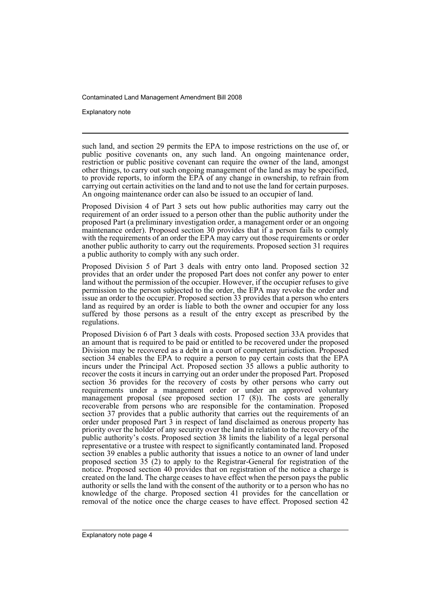Explanatory note

such land, and section 29 permits the EPA to impose restrictions on the use of, or public positive covenants on, any such land. An ongoing maintenance order, restriction or public positive covenant can require the owner of the land, amongst other things, to carry out such ongoing management of the land as may be specified, to provide reports, to inform the EPA of any change in ownership, to refrain from carrying out certain activities on the land and to not use the land for certain purposes. An ongoing maintenance order can also be issued to an occupier of land.

Proposed Division 4 of Part 3 sets out how public authorities may carry out the requirement of an order issued to a person other than the public authority under the proposed Part (a preliminary investigation order, a management order or an ongoing maintenance order). Proposed section 30 provides that if a person fails to comply with the requirements of an order the EPA may carry out those requirements or order another public authority to carry out the requirements. Proposed section 31 requires a public authority to comply with any such order.

Proposed Division 5 of Part 3 deals with entry onto land. Proposed section 32 provides that an order under the proposed Part does not confer any power to enter land without the permission of the occupier. However, if the occupier refuses to give permission to the person subjected to the order, the EPA may revoke the order and issue an order to the occupier. Proposed section 33 provides that a person who enters land as required by an order is liable to both the owner and occupier for any loss suffered by those persons as a result of the entry except as prescribed by the regulations.

Proposed Division 6 of Part 3 deals with costs. Proposed section 33A provides that an amount that is required to be paid or entitled to be recovered under the proposed Division may be recovered as a debt in a court of competent jurisdiction. Proposed section 34 enables the EPA to require a person to pay certain costs that the EPA incurs under the Principal Act. Proposed section 35 allows a public authority to recover the costs it incurs in carrying out an order under the proposed Part. Proposed section 36 provides for the recovery of costs by other persons who carry out requirements under a management order or under an approved voluntary management proposal (see proposed section 17 (8)). The costs are generally recoverable from persons who are responsible for the contamination. Proposed section 37 provides that a public authority that carries out the requirements of an order under proposed Part 3 in respect of land disclaimed as onerous property has priority over the holder of any security over the land in relation to the recovery of the public authority's costs. Proposed section 38 limits the liability of a legal personal representative or a trustee with respect to significantly contaminated land. Proposed section 39 enables a public authority that issues a notice to an owner of land under proposed section 35 (2) to apply to the Registrar-General for registration of the notice. Proposed section 40 provides that on registration of the notice a charge is created on the land. The charge ceases to have effect when the person pays the public authority or sells the land with the consent of the authority or to a person who has no knowledge of the charge. Proposed section 41 provides for the cancellation or removal of the notice once the charge ceases to have effect. Proposed section 42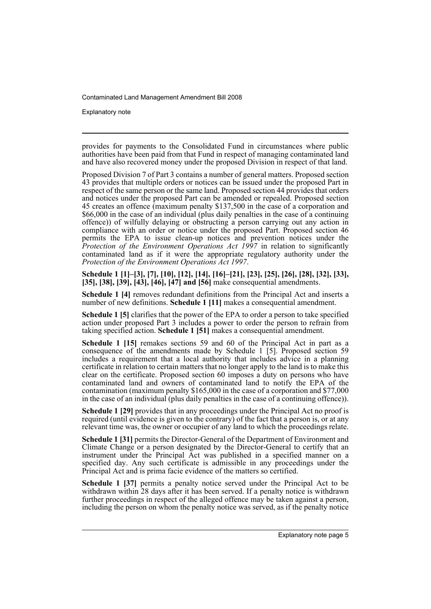Explanatory note

provides for payments to the Consolidated Fund in circumstances where public authorities have been paid from that Fund in respect of managing contaminated land and have also recovered money under the proposed Division in respect of that land.

Proposed Division 7 of Part 3 contains a number of general matters. Proposed section 43 provides that multiple orders or notices can be issued under the proposed Part in respect of the same person or the same land. Proposed section 44 provides that orders and notices under the proposed Part can be amended or repealed. Proposed section 45 creates an offence (maximum penalty \$137,500 in the case of a corporation and \$66,000 in the case of an individual (plus daily penalties in the case of a continuing offence)) of wilfully delaying or obstructing a person carrying out any action in compliance with an order or notice under the proposed Part. Proposed section 46 permits the EPA to issue clean-up notices and prevention notices under the *Protection of the Environment Operations Act 1997* in relation to significantly contaminated land as if it were the appropriate regulatory authority under the *Protection of the Environment Operations Act 1997*.

**Schedule 1 [1]–[3], [7], [10], [12], [14], [16]–[21], [23], [25], [26], [28], [32], [33], [35], [38], [39], [43], [46], [47] and [56]** make consequential amendments.

**Schedule 1 [4]** removes redundant definitions from the Principal Act and inserts a number of new definitions. **Schedule 1 [11]** makes a consequential amendment.

**Schedule 1 [5]** clarifies that the power of the EPA to order a person to take specified action under proposed Part 3 includes a power to order the person to refrain from taking specified action. **Schedule 1 [51]** makes a consequential amendment.

**Schedule 1 [15]** remakes sections 59 and 60 of the Principal Act in part as a consequence of the amendments made by Schedule 1 [5]. Proposed section 59 includes a requirement that a local authority that includes advice in a planning certificate in relation to certain matters that no longer apply to the land is to make this clear on the certificate. Proposed section 60 imposes a duty on persons who have contaminated land and owners of contaminated land to notify the EPA of the contamination (maximum penalty \$165,000 in the case of a corporation and \$77,000 in the case of an individual (plus daily penalties in the case of a continuing offence)).

**Schedule 1 [29]** provides that in any proceedings under the Principal Act no proof is required (until evidence is given to the contrary) of the fact that a person is, or at any relevant time was, the owner or occupier of any land to which the proceedings relate.

**Schedule 1 [31]** permits the Director-General of the Department of Environment and Climate Change or a person designated by the Director-General to certify that an instrument under the Principal Act was published in a specified manner on a specified day. Any such certificate is admissible in any proceedings under the Principal Act and is prima facie evidence of the matters so certified.

**Schedule 1 [37]** permits a penalty notice served under the Principal Act to be withdrawn within 28 days after it has been served. If a penalty notice is withdrawn further proceedings in respect of the alleged offence may be taken against a person, including the person on whom the penalty notice was served, as if the penalty notice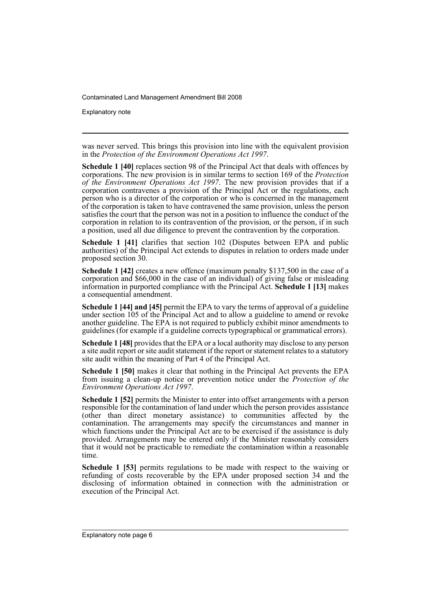Explanatory note

was never served. This brings this provision into line with the equivalent provision in the *Protection of the Environment Operations Act 1997*.

**Schedule 1 [40]** replaces section 98 of the Principal Act that deals with offences by corporations. The new provision is in similar terms to section 169 of the *Protection of the Environment Operations Act 1997*. The new provision provides that if a corporation contravenes a provision of the Principal Act or the regulations, each person who is a director of the corporation or who is concerned in the management of the corporation is taken to have contravened the same provision, unless the person satisfies the court that the person was not in a position to influence the conduct of the corporation in relation to its contravention of the provision, or the person, if in such a position, used all due diligence to prevent the contravention by the corporation.

**Schedule 1 [41]** clarifies that section 102 (Disputes between EPA and public authorities) of the Principal Act extends to disputes in relation to orders made under proposed section 30.

**Schedule 1 [42]** creates a new offence (maximum penalty \$137,500 in the case of a corporation and \$66,000 in the case of an individual) of giving false or misleading information in purported compliance with the Principal Act. **Schedule 1 [13]** makes a consequential amendment.

**Schedule 1 [44] and [45]** permit the EPA to vary the terms of approval of a guideline under section 105 of the Principal Act and to allow a guideline to amend or revoke another guideline. The EPA is not required to publicly exhibit minor amendments to guidelines (for example if a guideline corrects typographical or grammatical errors).

**Schedule 1 [48]** provides that the EPA or a local authority may disclose to any person a site audit report or site audit statement if the report or statement relates to a statutory site audit within the meaning of Part 4 of the Principal Act.

**Schedule 1 [50]** makes it clear that nothing in the Principal Act prevents the EPA from issuing a clean-up notice or prevention notice under the *Protection of the Environment Operations Act 1997*.

**Schedule 1 [52]** permits the Minister to enter into offset arrangements with a person responsible for the contamination of land under which the person provides assistance (other than direct monetary assistance) to communities affected by the contamination. The arrangements may specify the circumstances and manner in which functions under the Principal Act are to be exercised if the assistance is duly provided. Arrangements may be entered only if the Minister reasonably considers that it would not be practicable to remediate the contamination within a reasonable time.

**Schedule 1 [53]** permits regulations to be made with respect to the waiving or refunding of costs recoverable by the EPA under proposed section 34 and the disclosing of information obtained in connection with the administration or execution of the Principal Act.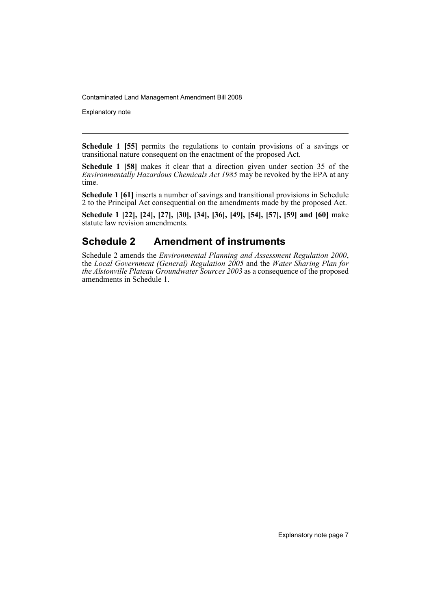Explanatory note

**Schedule 1 [55]** permits the regulations to contain provisions of a savings or transitional nature consequent on the enactment of the proposed Act.

**Schedule 1 [58]** makes it clear that a direction given under section 35 of the *Environmentally Hazardous Chemicals Act 1985* may be revoked by the EPA at any time.

**Schedule 1 [61]** inserts a number of savings and transitional provisions in Schedule 2 to the Principal Act consequential on the amendments made by the proposed Act.

**Schedule 1 [22], [24], [27], [30], [34], [36], [49], [54], [57], [59] and [60]** make statute law revision amendments.

## **Schedule 2 Amendment of instruments**

Schedule 2 amends the *Environmental Planning and Assessment Regulation 2000*, the *Local Government (General) Regulation 2005* and the *Water Sharing Plan for the Alstonville Plateau Groundwater Sources 2003* as a consequence of the proposed amendments in Schedule 1.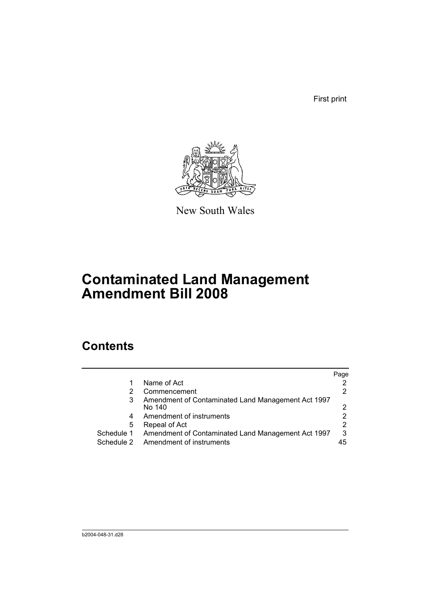First print



New South Wales

# **Contaminated Land Management Amendment Bill 2008**

# **Contents**

|            |                                                    | Page |
|------------|----------------------------------------------------|------|
| 1          | Name of Act                                        |      |
| 2          | Commencement                                       |      |
| 3          | Amendment of Contaminated Land Management Act 1997 |      |
|            | No 140                                             | າ    |
| 4          | Amendment of instruments                           |      |
| 5          | Repeal of Act                                      | 2    |
| Schedule 1 | Amendment of Contaminated Land Management Act 1997 | 3    |
| Schedule 2 | Amendment of instruments                           | 45   |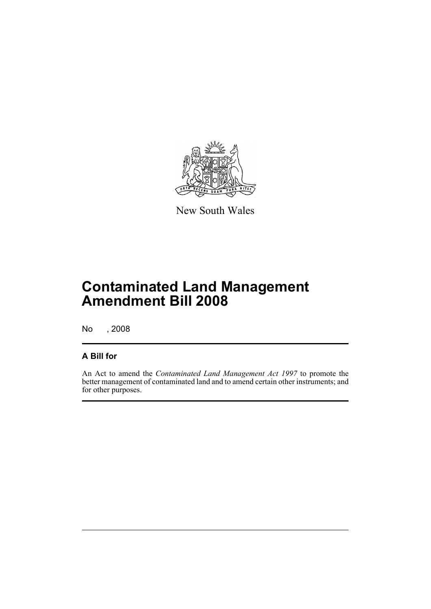

New South Wales

# **Contaminated Land Management Amendment Bill 2008**

No , 2008

### **A Bill for**

An Act to amend the *Contaminated Land Management Act 1997* to promote the better management of contaminated land and to amend certain other instruments; and for other purposes.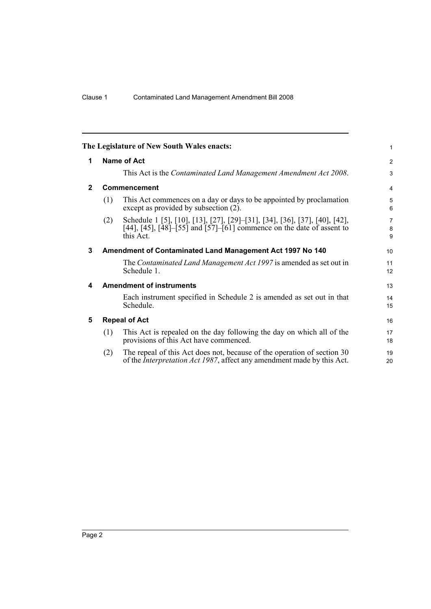<span id="page-11-4"></span><span id="page-11-3"></span><span id="page-11-2"></span><span id="page-11-1"></span><span id="page-11-0"></span>

|              |     | The Legislature of New South Wales enacts:                                                                                                                                                                               | 1                        |
|--------------|-----|--------------------------------------------------------------------------------------------------------------------------------------------------------------------------------------------------------------------------|--------------------------|
| 1            |     | Name of Act                                                                                                                                                                                                              | 2                        |
|              |     | This Act is the Contaminated Land Management Amendment Act 2008.                                                                                                                                                         | 3                        |
| $\mathbf{2}$ |     | Commencement                                                                                                                                                                                                             | $\overline{4}$           |
|              | (1) | This Act commences on a day or days to be appointed by proclamation<br>except as provided by subsection (2).                                                                                                             | 5<br>6                   |
|              | (2) | Schedule 1 [5], [10], [13], [27], [29]–[31], [34], [36], [37], [40], [42],<br>[44], [45], $\overline{[48]}$ – $\overline{[55]}$ and $\overline{[57]}$ – $\overline{[61]}$ commence on the date of assent to<br>this Act. | $\overline{7}$<br>8<br>9 |
| 3            |     | Amendment of Contaminated Land Management Act 1997 No 140                                                                                                                                                                | 10                       |
|              |     | The Contaminated Land Management Act 1997 is amended as set out in<br>Schedule 1.                                                                                                                                        | 11<br>12                 |
| 4            |     | <b>Amendment of instruments</b>                                                                                                                                                                                          | 13                       |
|              |     | Each instrument specified in Schedule 2 is amended as set out in that<br>Schedule.                                                                                                                                       | 14<br>15                 |
| 5            |     | <b>Repeal of Act</b>                                                                                                                                                                                                     | 16                       |
|              | (1) | This Act is repealed on the day following the day on which all of the<br>provisions of this Act have commenced.                                                                                                          | 17<br>18                 |
|              | (2) | The repeal of this Act does not, because of the operation of section 30<br>of the <i>Interpretation Act 1987</i> , affect any amendment made by this Act.                                                                | 19<br>20                 |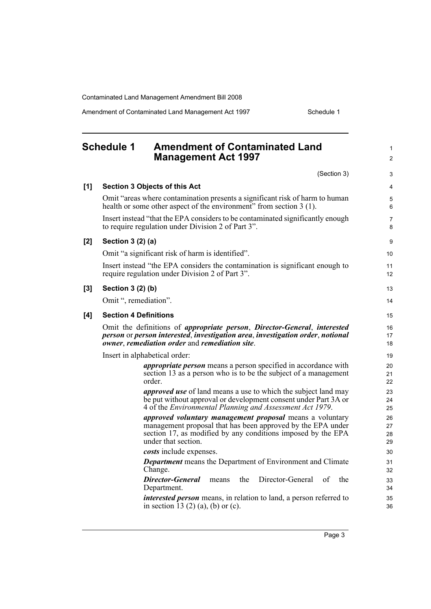Amendment of Contaminated Land Management Act 1997 Schedule 1

#### <span id="page-12-0"></span>**Schedule 1 Amendment of Contaminated Land Management Act 1997** (Section 3) **[1] Section 3 Objects of this Act** Omit "areas where contamination presents a significant risk of harm to human health or some other aspect of the environment" from section 3 (1). Insert instead "that the EPA considers to be contaminated significantly enough to require regulation under Division 2 of Part 3". **[2] Section 3 (2) (a)** Omit "a significant risk of harm is identified". Insert instead "the EPA considers the contamination is significant enough to require regulation under Division 2 of Part 3". **[3] Section 3 (2) (b)** Omit ", remediation". **[4] Section 4 Definitions** Omit the definitions of *appropriate person*, *Director-General*, *interested person* or *person interested*, *investigation area*, *investigation order*, *notional owner*, *remediation order* and *remediation site*. Insert in alphabetical order: *appropriate person* means a person specified in accordance with section 13 as a person who is to be the subject of a management order. *approved use* of land means a use to which the subject land may be put without approval or development consent under Part 3A or 4 of the *Environmental Planning and Assessment Act 1979*. *approved voluntary management proposal* means a voluntary management proposal that has been approved by the EPA under section 17, as modified by any conditions imposed by the EPA under that section. *costs* include expenses. *Department* means the Department of Environment and Climate Change. *Director-General* means the Director-General of the Department. *interested person* means, in relation to land, a person referred to in section 13 (2) (a), (b) or (c). 1  $\mathfrak{p}$ 3 4 5 6 7 8 9 10 11 12 13 14 15 16 17 18 19 20 21 22 23 24 25 26 27 28 29 30 31 32 33 34 35 36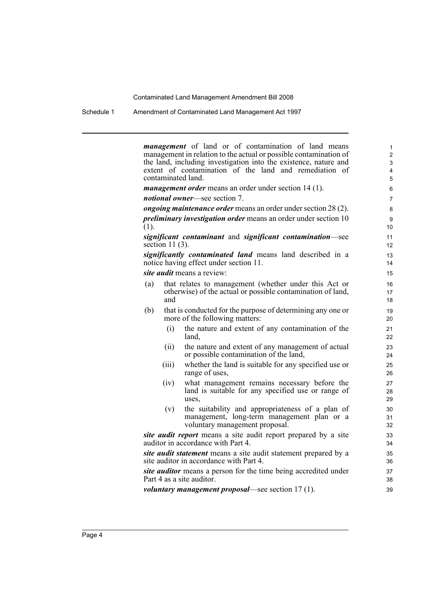Schedule 1 Amendment of Contaminated Land Management Act 1997

*management* of land or of contamination of land means management in relation to the actual or possible contamination of the land, including investigation into the existence, nature and extent of contamination of the land and remediation of contaminated land.

*management order* means an order under section 14 (1).

*notional owner*—see section 7.

*ongoing maintenance order* means an order under section 28 (2).

*preliminary investigation order* means an order under section 10 (1).

*significant contaminant* and *significant contamination*—see section 11 (3).

*significantly contaminated land* means land described in a notice having effect under section 11.

*site audit* means a review:

- (a) that relates to management (whether under this Act or otherwise) of the actual or possible contamination of land, and
- (b) that is conducted for the purpose of determining any one or more of the following matters:
	- (i) the nature and extent of any contamination of the land,
	- (ii) the nature and extent of any management of actual or possible contamination of the land,
	- (iii) whether the land is suitable for any specified use or range of uses,
	- (iv) what management remains necessary before the land is suitable for any specified use or range of uses,
	- (v) the suitability and appropriateness of a plan of management, long-term management plan or a voluntary management proposal.

*site audit report* means a site audit report prepared by a site auditor in accordance with Part 4.

*site audit statement* means a site audit statement prepared by a site auditor in accordance with Part 4.

*site auditor* means a person for the time being accredited under Part 4 as a site auditor.

*voluntary management proposal*—see section 17 (1).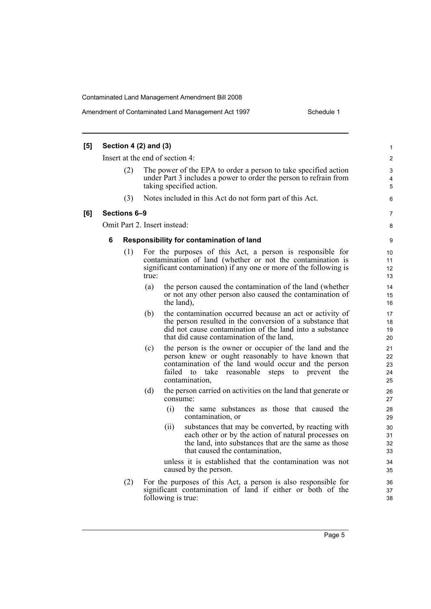| [5] |   | Section 4 $(2)$ and $(3)$ |       |                                                                                                                                                                                                                                                                                                                                                                                                                                 | 1                                                  |
|-----|---|---------------------------|-------|---------------------------------------------------------------------------------------------------------------------------------------------------------------------------------------------------------------------------------------------------------------------------------------------------------------------------------------------------------------------------------------------------------------------------------|----------------------------------------------------|
|     |   |                           |       | Insert at the end of section 4:                                                                                                                                                                                                                                                                                                                                                                                                 | 2                                                  |
|     |   | (2)                       |       | The power of the EPA to order a person to take specified action<br>under Part 3 includes a power to order the person to refrain from<br>taking specified action.                                                                                                                                                                                                                                                                | 3<br>4<br>5                                        |
|     |   | (3)                       |       | Notes included in this Act do not form part of this Act.                                                                                                                                                                                                                                                                                                                                                                        | 6                                                  |
| [6] |   | Sections 6-9              |       |                                                                                                                                                                                                                                                                                                                                                                                                                                 | 7                                                  |
|     |   |                           |       | Omit Part 2. Insert instead:                                                                                                                                                                                                                                                                                                                                                                                                    | 8                                                  |
|     | 6 |                           |       | Responsibility for contamination of land                                                                                                                                                                                                                                                                                                                                                                                        | 9                                                  |
|     |   | (1)                       | true: | For the purposes of this Act, a person is responsible for<br>contamination of land (whether or not the contamination is<br>significant contamination) if any one or more of the following is                                                                                                                                                                                                                                    | 10<br>11<br>12<br>13                               |
|     |   |                           | (a)   | the person caused the contamination of the land (whether<br>or not any other person also caused the contamination of<br>the land),                                                                                                                                                                                                                                                                                              | 14<br>15<br>16                                     |
|     |   |                           | (b)   | the contamination occurred because an act or activity of<br>the person resulted in the conversion of a substance that<br>did not cause contamination of the land into a substance<br>that did cause contamination of the land,                                                                                                                                                                                                  | 17<br>18<br>19<br>20                               |
|     |   |                           | (c)   | the person is the owner or occupier of the land and the<br>person knew or ought reasonably to have known that<br>contamination of the land would occur and the person<br>take<br>failed<br>to<br>reasonable<br>steps to prevent the<br>contamination,                                                                                                                                                                           | 21<br>22<br>23<br>24<br>25                         |
|     |   |                           | (d)   | the person carried on activities on the land that generate or<br>consume:<br>the same substances as those that caused the<br>(i)<br>contamination, or<br>substances that may be converted, by reacting with<br>(ii)<br>each other or by the action of natural processes on<br>the land, into substances that are the same as those<br>that caused the contamination,<br>unless it is established that the contamination was not | 26<br>27<br>28<br>29<br>30<br>31<br>32<br>33<br>34 |
|     |   | (2)                       |       | caused by the person.<br>For the purposes of this Act, a person is also responsible for<br>significant contamination of land if either or both of the<br>following is true:                                                                                                                                                                                                                                                     | 35<br>36<br>37<br>38                               |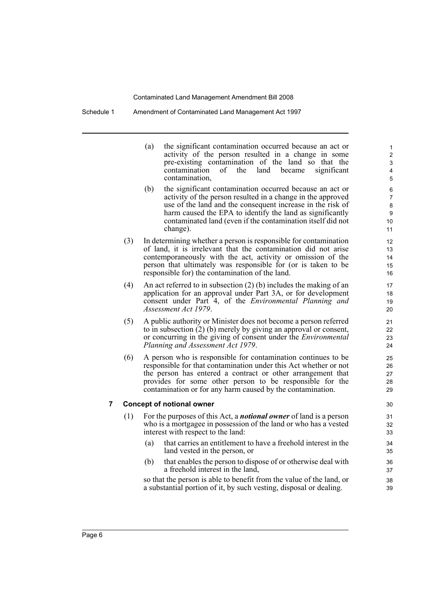Schedule 1 Amendment of Contaminated Land Management Act 1997

(a) the significant contamination occurred because an act or activity of the person resulted in a change in some pre-existing contamination of the land so that the contamination of the land became significant contamination, (b) the significant contamination occurred because an act or

- activity of the person resulted in a change in the approved use of the land and the consequent increase in the risk of harm caused the EPA to identify the land as significantly contaminated land (even if the contamination itself did not change).
- (3) In determining whether a person is responsible for contamination of land, it is irrelevant that the contamination did not arise contemporaneously with the act, activity or omission of the person that ultimately was responsible for (or is taken to be responsible for) the contamination of the land.
- (4) An act referred to in subsection (2) (b) includes the making of an application for an approval under Part 3A, or for development consent under Part 4, of the *Environmental Planning and Assessment Act 1979*.
- (5) A public authority or Minister does not become a person referred to in subsection (2) (b) merely by giving an approval or consent, or concurring in the giving of consent under the *Environmental Planning and Assessment Act 1979*.
- (6) A person who is responsible for contamination continues to be responsible for that contamination under this Act whether or not the person has entered a contract or other arrangement that provides for some other person to be responsible for the contamination or for any harm caused by the contamination.

#### **7 Concept of notional owner**

- (1) For the purposes of this Act, a *notional owner* of land is a person who is a mortgagee in possession of the land or who has a vested interest with respect to the land:
	- (a) that carries an entitlement to have a freehold interest in the land vested in the person, or
	- (b) that enables the person to dispose of or otherwise deal with a freehold interest in the land,

so that the person is able to benefit from the value of the land, or a substantial portion of it, by such vesting, disposal or dealing.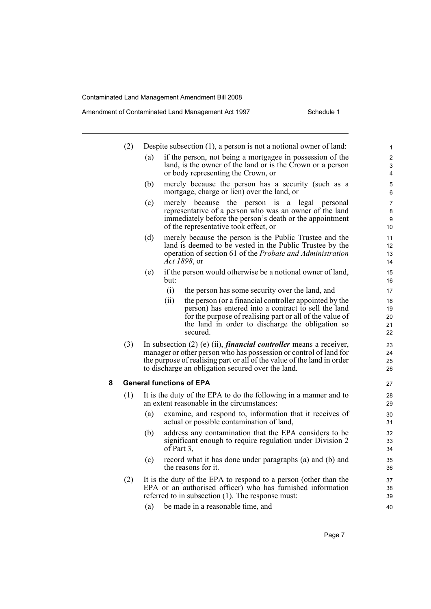|   | (2) |     | Despite subsection $(1)$ , a person is not a notional owner of land:                                                                                                                                                                                                            | 1                        |
|---|-----|-----|---------------------------------------------------------------------------------------------------------------------------------------------------------------------------------------------------------------------------------------------------------------------------------|--------------------------|
|   |     | (a) | if the person, not being a mortgagee in possession of the<br>land, is the owner of the land or is the Crown or a person<br>or body representing the Crown, or                                                                                                                   | $\overline{2}$<br>3<br>4 |
|   |     | (b) | merely because the person has a security (such as a<br>mortgage, charge or lien) over the land, or                                                                                                                                                                              | 5<br>6                   |
|   |     | (c) | merely because the person is a legal<br>personal<br>representative of a person who was an owner of the land<br>immediately before the person's death or the appointment<br>of the representative took effect, or                                                                | 7<br>8<br>9<br>10        |
|   |     | (d) | merely because the person is the Public Trustee and the<br>land is deemed to be vested in the Public Trustee by the<br>operation of section 61 of the Probate and Administration<br><i>Act 1898</i> , or                                                                        | 11<br>12<br>13<br>14     |
|   |     | (e) | if the person would otherwise be a notional owner of land,<br>but:                                                                                                                                                                                                              | 15<br>16                 |
|   |     |     | (i)<br>the person has some security over the land, and                                                                                                                                                                                                                          | 17                       |
|   |     |     | (ii)<br>the person (or a financial controller appointed by the                                                                                                                                                                                                                  | 18                       |
|   |     |     | person) has entered into a contract to sell the land                                                                                                                                                                                                                            | 19                       |
|   |     |     | for the purpose of realising part or all of the value of                                                                                                                                                                                                                        | 20                       |
|   |     |     | the land in order to discharge the obligation so<br>secured.                                                                                                                                                                                                                    | 21<br>22                 |
|   | (3) |     | In subsection $(2)$ (e) (ii), <i>financial controller</i> means a receiver,<br>manager or other person who has possession or control of land for<br>the purpose of realising part or all of the value of the land in order<br>to discharge an obligation secured over the land. | 23<br>24<br>25<br>26     |
| 8 |     |     | <b>General functions of EPA</b>                                                                                                                                                                                                                                                 | 27                       |
|   | (1) |     | It is the duty of the EPA to do the following in a manner and to<br>an extent reasonable in the circumstances:                                                                                                                                                                  | 28<br>29                 |
|   |     | (a) | examine, and respond to, information that it receives of<br>actual or possible contamination of land,                                                                                                                                                                           | 30<br>31                 |
|   |     | (b) | address any contamination that the EPA considers to be<br>significant enough to require regulation under Division 2<br>of Part $3$ ,                                                                                                                                            | 32<br>33<br>34           |
|   |     | (c) | record what it has done under paragraphs (a) and (b) and<br>the reasons for it.                                                                                                                                                                                                 | 35<br>36                 |
|   | (2) |     | It is the duty of the EPA to respond to a person (other than the<br>EPA or an authorised officer) who has furnished information<br>referred to in subsection (1). The response must:                                                                                            | 37<br>38<br>39           |
|   |     | (a) | be made in a reasonable time, and                                                                                                                                                                                                                                               | 40                       |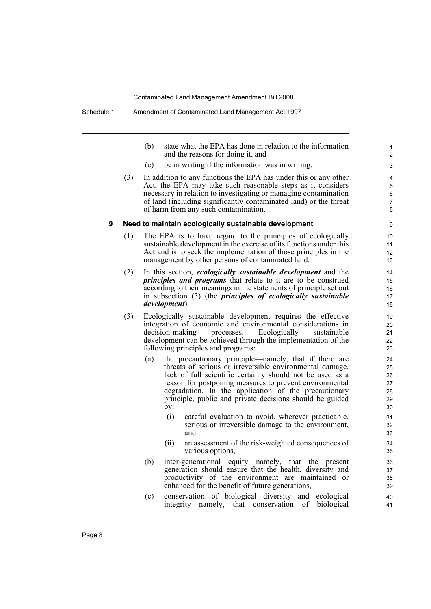(b) state what the EPA has done in relation to the information and the reasons for doing it, and

- (c) be in writing if the information was in writing.
- (3) In addition to any functions the EPA has under this or any other Act, the EPA may take such reasonable steps as it considers necessary in relation to investigating or managing contamination of land (including significantly contaminated land) or the threat of harm from any such contamination.

#### **9 Need to maintain ecologically sustainable development**

- (1) The EPA is to have regard to the principles of ecologically sustainable development in the exercise of its functions under this Act and is to seek the implementation of those principles in the management by other persons of contaminated land.
- (2) In this section, *ecologically sustainable development* and the *principles and programs* that relate to it are to be construed according to their meanings in the statements of principle set out in subsection (3) (the *principles of ecologically sustainable development*).
- (3) Ecologically sustainable development requires the effective integration of economic and environmental considerations in decision-making processes. Ecologically sustainable development can be achieved through the implementation of the following principles and programs:
	- (a) the precautionary principle—namely, that if there are threats of serious or irreversible environmental damage, lack of full scientific certainty should not be used as a reason for postponing measures to prevent environmental degradation. In the application of the precautionary principle, public and private decisions should be guided by:
		- (i) careful evaluation to avoid, wherever practicable, serious or irreversible damage to the environment, and
		- (ii) an assessment of the risk-weighted consequences of various options,
	- (b) inter-generational equity—namely, that the present generation should ensure that the health, diversity and productivity of the environment are maintained or enhanced for the benefit of future generations,
	- (c) conservation of biological diversity and ecological integrity—namely, that conservation of biological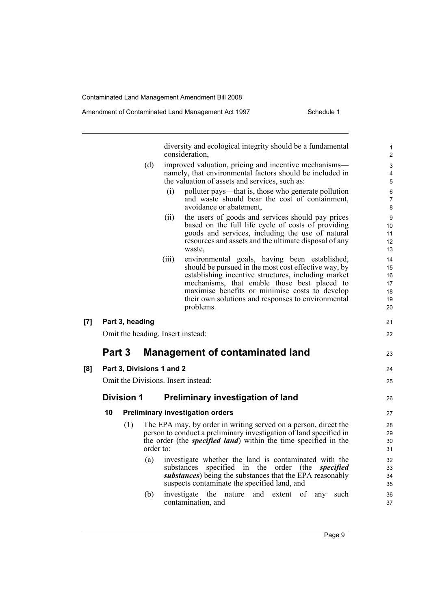diversity and ecological integrity should be a fundamental consideration, (d) improved valuation, pricing and incentive mechanisms namely, that environmental factors should be included in the valuation of assets and services, such as: (i) polluter pays—that is, those who generate pollution and waste should bear the cost of containment, avoidance or abatement, (ii) the users of goods and services should pay prices based on the full life cycle of costs of providing goods and services, including the use of natural resources and assets and the ultimate disposal of any waste, (iii) environmental goals, having been established, should be pursued in the most cost effective way, by establishing incentive structures, including market mechanisms, that enable those best placed to maximise benefits or minimise costs to develop their own solutions and responses to environmental problems. **[7] Part 3, heading** Omit the heading. Insert instead: **Part 3 Management of contaminated land [8] Part 3, Divisions 1 and 2** Omit the Divisions. Insert instead: **Division 1 Preliminary investigation of land 10 Preliminary investigation orders** (1) The EPA may, by order in writing served on a person, direct the person to conduct a preliminary investigation of land specified in the order (the *specified land*) within the time specified in the order to: 10 11 12 13 14 15 16 17 18 19 20 21 22 23 24 25 26 27 28 29 30 31  $32$ 

- (a) investigate whether the land is contaminated with the substances specified in the order (the *specified substances*) being the substances that the EPA reasonably suspects contaminate the specified land, and
- (b) investigate the nature and extent of any such contamination, and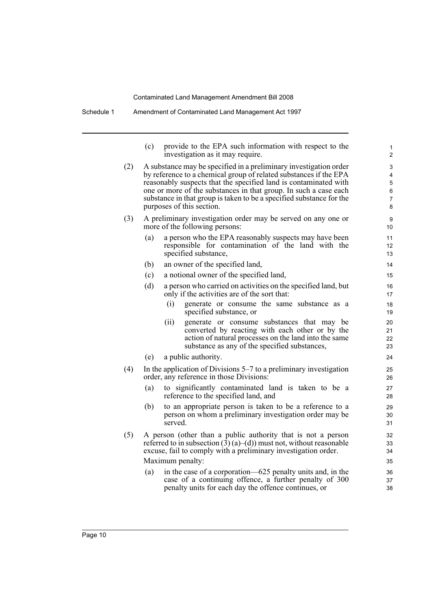|     | (c)                                                               | provide to the EPA such information with respect to the<br>investigation as it may require.                      | 1<br>$\overline{c}$ |  |  |  |  |
|-----|-------------------------------------------------------------------|------------------------------------------------------------------------------------------------------------------|---------------------|--|--|--|--|
| (2) |                                                                   | A substance may be specified in a preliminary investigation order                                                | 3                   |  |  |  |  |
|     | by reference to a chemical group of related substances if the EPA |                                                                                                                  |                     |  |  |  |  |
|     |                                                                   | reasonably suspects that the specified land is contaminated with                                                 | 5                   |  |  |  |  |
|     |                                                                   | one or more of the substances in that group. In such a case each                                                 | 6                   |  |  |  |  |
|     |                                                                   | substance in that group is taken to be a specified substance for the<br>purposes of this section.                | $\overline{7}$<br>8 |  |  |  |  |
|     |                                                                   |                                                                                                                  |                     |  |  |  |  |
| (3) |                                                                   | A preliminary investigation order may be served on any one or<br>more of the following persons:                  | 9<br>10             |  |  |  |  |
|     | (a)                                                               | a person who the EPA reasonably suspects may have been                                                           | 11                  |  |  |  |  |
|     |                                                                   | responsible for contamination of the land with the                                                               | 12                  |  |  |  |  |
|     |                                                                   | specified substance,                                                                                             | 13                  |  |  |  |  |
|     | (b)                                                               | an owner of the specified land,                                                                                  | 14                  |  |  |  |  |
|     | (c)                                                               | a notional owner of the specified land,                                                                          | 15                  |  |  |  |  |
|     | (d)                                                               | a person who carried on activities on the specified land, but                                                    | 16                  |  |  |  |  |
|     |                                                                   | only if the activities are of the sort that:                                                                     | 17                  |  |  |  |  |
|     |                                                                   | generate or consume the same substance as a<br>(i)<br>specified substance, or                                    | 18<br>19            |  |  |  |  |
|     |                                                                   | (ii)<br>generate or consume substances that may be                                                               | 20                  |  |  |  |  |
|     |                                                                   | converted by reacting with each other or by the                                                                  | 21                  |  |  |  |  |
|     |                                                                   | action of natural processes on the land into the same<br>substance as any of the specified substances,           | 22                  |  |  |  |  |
|     |                                                                   |                                                                                                                  | 23                  |  |  |  |  |
|     | (e)                                                               | a public authority.                                                                                              | 24                  |  |  |  |  |
| (4) |                                                                   | In the application of Divisions $5-7$ to a preliminary investigation<br>order, any reference in those Divisions: | 25<br>26            |  |  |  |  |
|     | (a)                                                               | to significantly contaminated land is taken to be a                                                              | 27                  |  |  |  |  |
|     |                                                                   | reference to the specified land, and                                                                             | 28                  |  |  |  |  |
|     | (b)                                                               | to an appropriate person is taken to be a reference to a                                                         | 29                  |  |  |  |  |
|     |                                                                   | person on whom a preliminary investigation order may be<br>served.                                               | 30<br>31            |  |  |  |  |
| (5) |                                                                   | A person (other than a public authority that is not a person                                                     | 32                  |  |  |  |  |
|     |                                                                   | referred to in subsection $(3)$ (a)–(d)) must not, without reasonable                                            | 33                  |  |  |  |  |
|     |                                                                   | excuse, fail to comply with a preliminary investigation order.                                                   | 34                  |  |  |  |  |
|     |                                                                   | Maximum penalty:                                                                                                 | 35                  |  |  |  |  |
|     | (a)                                                               | in the case of a corporation—625 penalty units and, in the                                                       | 36                  |  |  |  |  |
|     |                                                                   | case of a continuing offence, a further penalty of 300                                                           | 37                  |  |  |  |  |
|     |                                                                   | penalty units for each day the offence continues, or                                                             | 38                  |  |  |  |  |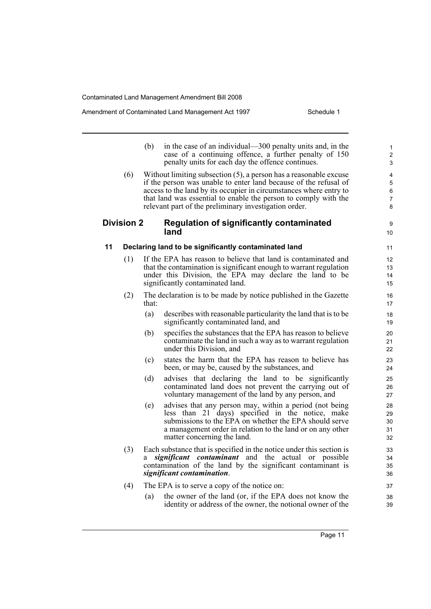#### Amendment of Contaminated Land Management Act 1997 Schedule 1

|    |                   | (b)   | in the case of an individual—300 penalty units and, in the<br>case of a continuing offence, a further penalty of 150<br>penalty units for each day the offence continues.                                                                                                                                                                  | $\mathbf{1}$<br>$\overline{2}$<br>3 |
|----|-------------------|-------|--------------------------------------------------------------------------------------------------------------------------------------------------------------------------------------------------------------------------------------------------------------------------------------------------------------------------------------------|-------------------------------------|
|    | (6)               |       | Without limiting subsection $(5)$ , a person has a reasonable excuse<br>if the person was unable to enter land because of the refusal of<br>access to the land by its occupier in circumstances where entry to<br>that land was essential to enable the person to comply with the<br>relevant part of the preliminary investigation order. | 4<br>5<br>6<br>7<br>8               |
|    | <b>Division 2</b> |       | <b>Regulation of significantly contaminated</b><br>land                                                                                                                                                                                                                                                                                    | 9<br>10                             |
| 11 |                   |       | Declaring land to be significantly contaminated land                                                                                                                                                                                                                                                                                       | 11                                  |
|    | (1)               |       | If the EPA has reason to believe that land is contaminated and<br>that the contamination is significant enough to warrant regulation<br>under this Division, the EPA may declare the land to be<br>significantly contaminated land.                                                                                                        | 12<br>13<br>14<br>15                |
|    | (2)               | that: | The declaration is to be made by notice published in the Gazette                                                                                                                                                                                                                                                                           | 16<br>17                            |
|    |                   | (a)   | describes with reasonable particularity the land that is to be<br>significantly contaminated land, and                                                                                                                                                                                                                                     | 18<br>19                            |
|    |                   | (b)   | specifies the substances that the EPA has reason to believe<br>contaminate the land in such a way as to warrant regulation<br>under this Division, and                                                                                                                                                                                     | 20<br>21<br>22                      |
|    |                   | (c)   | states the harm that the EPA has reason to believe has<br>been, or may be, caused by the substances, and                                                                                                                                                                                                                                   | 23<br>24                            |
|    |                   | (d)   | advises that declaring the land to be significantly<br>contaminated land does not prevent the carrying out of<br>voluntary management of the land by any person, and                                                                                                                                                                       | 25<br>26<br>27                      |
|    |                   | (e)   | advises that any person may, within a period (not being<br>less than 21 days) specified in the notice, make<br>submissions to the EPA on whether the EPA should serve<br>a management order in relation to the land or on any other<br>matter concerning the land.                                                                         | 28<br>29<br>30<br>31<br>32          |
|    | (3)               | a     | Each substance that is specified in the notice under this section is<br>significant contaminant and the actual or possible<br>contamination of the land by the significant contaminant is<br>significant contamination.                                                                                                                    | 33<br>34<br>35<br>36                |
|    | (4)               |       | The EPA is to serve a copy of the notice on:                                                                                                                                                                                                                                                                                               | 37                                  |
|    |                   | (a)   | the owner of the land (or, if the EPA does not know the<br>identity or address of the owner, the notional owner of the                                                                                                                                                                                                                     | 38<br>39                            |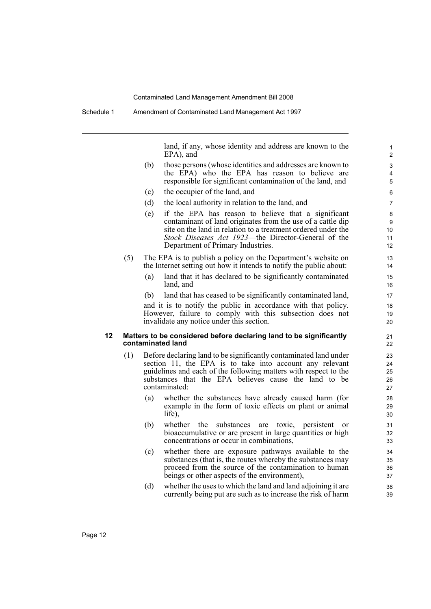land, if any, whose identity and address are known to the EPA), and

- (b) those persons (whose identities and addresses are known to the EPA) who the EPA has reason to believe are responsible for significant contamination of the land, and
- (c) the occupier of the land, and
- (d) the local authority in relation to the land, and
- (e) if the EPA has reason to believe that a significant contaminant of land originates from the use of a cattle dip site on the land in relation to a treatment ordered under the *Stock Diseases Act 1923*—the Director-General of the Department of Primary Industries.
- (5) The EPA is to publish a policy on the Department's website on the Internet setting out how it intends to notify the public about:
	- (a) land that it has declared to be significantly contaminated land, and
	- (b) land that has ceased to be significantly contaminated land,

and it is to notify the public in accordance with that policy. However, failure to comply with this subsection does not invalidate any notice under this section.

#### **12 Matters to be considered before declaring land to be significantly contaminated land**

- (1) Before declaring land to be significantly contaminated land under section 11, the EPA is to take into account any relevant guidelines and each of the following matters with respect to the substances that the EPA believes cause the land to be contaminated:
	- (a) whether the substances have already caused harm (for example in the form of toxic effects on plant or animal life),
	- (b) whether the substances are toxic, persistent or bioaccumulative or are present in large quantities or high concentrations or occur in combinations,
	- (c) whether there are exposure pathways available to the substances (that is, the routes whereby the substances may proceed from the source of the contamination to human beings or other aspects of the environment),
	- (d) whether the uses to which the land and land adjoining it are currently being put are such as to increase the risk of harm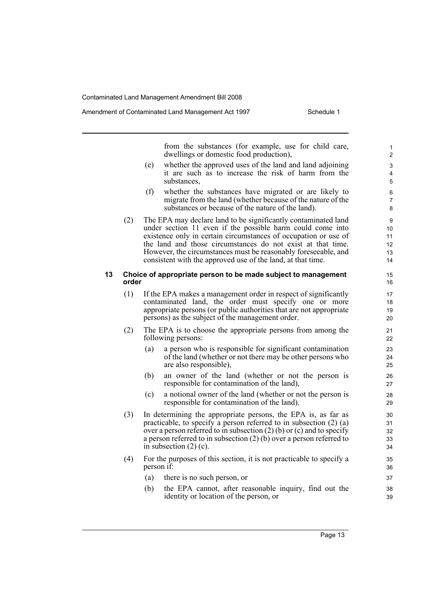from the substances (for example, use for child care, dwellings or domestic food production),

- (e) whether the approved uses of the land and land adjoining it are such as to increase the risk of harm from the substances,
- (f) whether the substances have migrated or are likely to migrate from the land (whether because of the nature of the substances or because of the nature of the land).
- (2) The EPA may declare land to be significantly contaminated land under section 11 even if the possible harm could come into existence only in certain circumstances of occupation or use of the land and those circumstances do not exist at that time. However, the circumstances must be reasonably foreseeable, and consistent with the approved use of the land, at that time.

#### **13 Choice of appropriate person to be made subject to management order**

- (1) If the EPA makes a management order in respect of significantly contaminated land, the order must specify one or more appropriate persons (or public authorities that are not appropriate persons) as the subject of the management order.
- (2) The EPA is to choose the appropriate persons from among the following persons:
	- (a) a person who is responsible for significant contamination of the land (whether or not there may be other persons who are also responsible),
	- (b) an owner of the land (whether or not the person is responsible for contamination of the land),
	- (c) a notional owner of the land (whether or not the person is responsible for contamination of the land).
- (3) In determining the appropriate persons, the EPA is, as far as practicable, to specify a person referred to in subsection (2) (a) over a person referred to in subsection  $(2)$  (b) or (c) and to specify a person referred to in subsection (2) (b) over a person referred to in subsection  $(2)$  (c).
- (4) For the purposes of this section, it is not practicable to specify a person if:
	- (a) there is no such person, or
	- (b) the EPA cannot, after reasonable inquiry, find out the identity or location of the person, or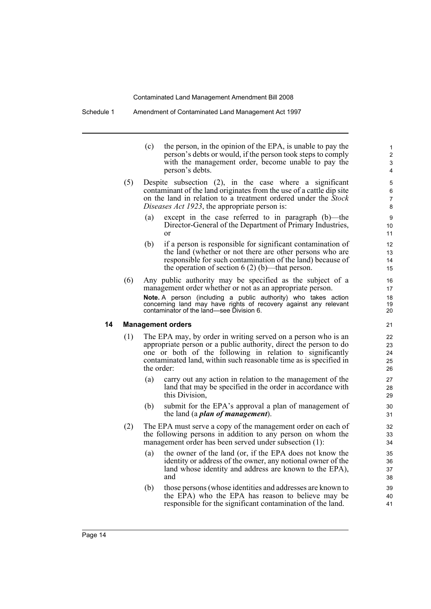Schedule 1 Amendment of Contaminated Land Management Act 1997

(c) the person, in the opinion of the EPA, is unable to pay the person's debts or would, if the person took steps to comply with the management order, become unable to pay the person's debts.

- (5) Despite subsection (2), in the case where a significant contaminant of the land originates from the use of a cattle dip site on the land in relation to a treatment ordered under the *Stock Diseases Act 1923*, the appropriate person is:
	- (a) except in the case referred to in paragraph (b)—the Director-General of the Department of Primary Industries, or
	- (b) if a person is responsible for significant contamination of the land (whether or not there are other persons who are responsible for such contamination of the land) because of the operation of section 6 (2) (b)—that person.
- (6) Any public authority may be specified as the subject of a management order whether or not as an appropriate person.

**Note.** A person (including a public authority) who takes action concerning land may have rights of recovery against any relevant contaminator of the land—see Division 6.

#### **14 Management orders**

- (1) The EPA may, by order in writing served on a person who is an appropriate person or a public authority, direct the person to do one or both of the following in relation to significantly contaminated land, within such reasonable time as is specified in the order:
	- (a) carry out any action in relation to the management of the land that may be specified in the order in accordance with this Division,
	- (b) submit for the EPA's approval a plan of management of the land (a *plan of management*).
- (2) The EPA must serve a copy of the management order on each of the following persons in addition to any person on whom the management order has been served under subsection (1):
	- (a) the owner of the land (or, if the EPA does not know the identity or address of the owner, any notional owner of the land whose identity and address are known to the EPA), and
	- (b) those persons (whose identities and addresses are known to the EPA) who the EPA has reason to believe may be responsible for the significant contamination of the land.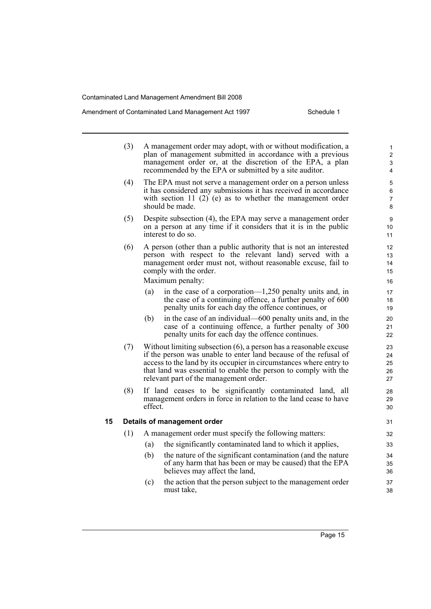#### Amendment of Contaminated Land Management Act 1997 Schedule 1

|    | (3) |         | A management order may adopt, with or without modification, a<br>plan of management submitted in accordance with a previous<br>management order or, at the discretion of the EPA, a plan<br>recommended by the EPA or submitted by a site auditor.                                                                          | 1<br>$\overline{c}$<br>3<br>4 |
|----|-----|---------|-----------------------------------------------------------------------------------------------------------------------------------------------------------------------------------------------------------------------------------------------------------------------------------------------------------------------------|-------------------------------|
|    | (4) |         | The EPA must not serve a management order on a person unless<br>it has considered any submissions it has received in accordance<br>with section 11 $(2)$ (e) as to whether the management order<br>should be made.                                                                                                          | 5<br>6<br>7<br>8              |
|    | (5) |         | Despite subsection (4), the EPA may serve a management order<br>on a person at any time if it considers that it is in the public<br>interest to do so.                                                                                                                                                                      | 9<br>10<br>11                 |
|    | (6) |         | A person (other than a public authority that is not an interested<br>person with respect to the relevant land) served with a<br>management order must not, without reasonable excuse, fail to<br>comply with the order.<br>Maximum penalty:                                                                                 | 12<br>13<br>14<br>15<br>16    |
|    |     | (a)     | in the case of a corporation— $1,250$ penalty units and, in<br>the case of a continuing offence, a further penalty of 600<br>penalty units for each day the offence continues, or                                                                                                                                           | 17<br>18<br>19                |
|    |     | (b)     | in the case of an individual—600 penalty units and, in the<br>case of a continuing offence, a further penalty of 300<br>penalty units for each day the offence continues.                                                                                                                                                   | 20<br>21<br>22                |
|    | (7) |         | Without limiting subsection $(6)$ , a person has a reasonable excuse<br>if the person was unable to enter land because of the refusal of<br>access to the land by its occupier in circumstances where entry to<br>that land was essential to enable the person to comply with the<br>relevant part of the management order. | 23<br>24<br>25<br>26<br>27    |
|    | (8) | effect. | If land ceases to be significantly contaminated land, all<br>management orders in force in relation to the land cease to have                                                                                                                                                                                               | 28<br>29<br>30                |
| 15 |     |         | Details of management order                                                                                                                                                                                                                                                                                                 | 31                            |
|    | (1) |         | A management order must specify the following matters:                                                                                                                                                                                                                                                                      | 32                            |
|    |     | (a)     | the significantly contaminated land to which it applies,                                                                                                                                                                                                                                                                    | 33                            |
|    |     | (b)     | the nature of the significant contamination (and the nature<br>of any harm that has been or may be caused) that the EPA<br>believes may affect the land,                                                                                                                                                                    | 34<br>35<br>36                |
|    |     | (c)     | the action that the person subject to the management order<br>must take,                                                                                                                                                                                                                                                    | 37<br>38                      |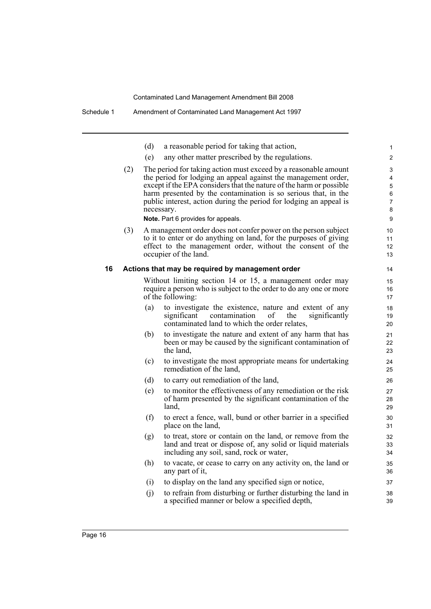|    |     | (d) | a reasonable period for taking that action,                                                                                                                                                                                                                                                                                                                                                          | 1                               |
|----|-----|-----|------------------------------------------------------------------------------------------------------------------------------------------------------------------------------------------------------------------------------------------------------------------------------------------------------------------------------------------------------------------------------------------------------|---------------------------------|
|    |     | (e) | any other matter prescribed by the regulations.                                                                                                                                                                                                                                                                                                                                                      | $\overline{c}$                  |
|    | (2) |     | The period for taking action must exceed by a reasonable amount<br>the period for lodging an appeal against the management order,<br>except if the EPA considers that the nature of the harm or possible<br>harm presented by the contamination is so serious that, in the<br>public interest, action during the period for lodging an appeal is<br>necessary.<br>Note. Part 6 provides for appeals. | 3<br>4<br>5<br>6<br>7<br>8<br>9 |
|    | (3) |     | A management order does not confer power on the person subject<br>to it to enter or do anything on land, for the purposes of giving<br>effect to the management order, without the consent of the<br>occupier of the land.                                                                                                                                                                           | 10<br>11<br>12<br>13            |
| 16 |     |     | Actions that may be required by management order                                                                                                                                                                                                                                                                                                                                                     | 14                              |
|    |     |     | Without limiting section 14 or 15, a management order may<br>require a person who is subject to the order to do any one or more<br>of the following:                                                                                                                                                                                                                                                 | 15<br>16<br>17                  |
|    |     | (a) | to investigate the existence, nature and extent of any<br>significant contamination<br>of<br>significantly<br>the<br>contaminated land to which the order relates,                                                                                                                                                                                                                                   | 18<br>19<br>20                  |
|    |     | (b) | to investigate the nature and extent of any harm that has<br>been or may be caused by the significant contamination of<br>the land,                                                                                                                                                                                                                                                                  | 21<br>22<br>23                  |
|    |     | (c) | to investigate the most appropriate means for undertaking<br>remediation of the land,                                                                                                                                                                                                                                                                                                                | 24<br>25                        |
|    |     | (d) | to carry out remediation of the land,                                                                                                                                                                                                                                                                                                                                                                | 26                              |
|    |     | (e) | to monitor the effectiveness of any remediation or the risk<br>of harm presented by the significant contamination of the<br>land,                                                                                                                                                                                                                                                                    | 27<br>28<br>29                  |
|    |     | (f) | to erect a fence, wall, bund or other barrier in a specified<br>place on the land,                                                                                                                                                                                                                                                                                                                   | 30<br>31                        |
|    |     | (g) | to treat, store or contain on the land, or remove from the<br>land and treat or dispose of, any solid or liquid materials<br>including any soil, sand, rock or water,                                                                                                                                                                                                                                | 32<br>33<br>34                  |
|    |     | (h) | to vacate, or cease to carry on any activity on, the land or<br>any part of it,                                                                                                                                                                                                                                                                                                                      | 35<br>36                        |
|    |     | (i) | to display on the land any specified sign or notice,                                                                                                                                                                                                                                                                                                                                                 | 37                              |
|    |     | (j) | to refrain from disturbing or further disturbing the land in<br>a specified manner or below a specified depth,                                                                                                                                                                                                                                                                                       | 38<br>39                        |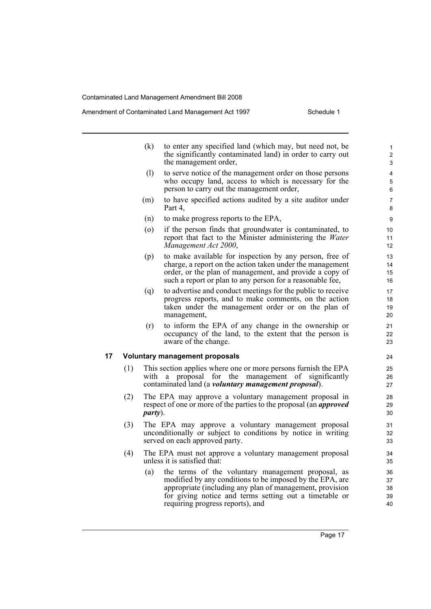#### Amendment of Contaminated Land Management Act 1997 Schedule 1

|    |     | (k)                        | to enter any specified land (which may, but need not, be<br>the significantly contaminated land) in order to carry out<br>the management order,                                                                                              |
|----|-----|----------------------------|----------------------------------------------------------------------------------------------------------------------------------------------------------------------------------------------------------------------------------------------|
|    |     | $\left( \mathrm{l}\right)$ | to serve notice of the management order on those persons<br>who occupy land, access to which is necessary for the<br>person to carry out the management order,                                                                               |
|    |     | (m)                        | to have specified actions audited by a site auditor under<br>Part 4,                                                                                                                                                                         |
|    |     | (n)                        | to make progress reports to the EPA,                                                                                                                                                                                                         |
|    |     | (0)                        | if the person finds that groundwater is contaminated, to<br>report that fact to the Minister administering the Water<br>Management Act 2000,                                                                                                 |
|    |     | (p)                        | to make available for inspection by any person, free of<br>charge, a report on the action taken under the management<br>order, or the plan of management, and provide a copy of<br>such a report or plan to any person for a reasonable fee, |
|    |     | (q)                        | to advertise and conduct meetings for the public to receive<br>progress reports, and to make comments, on the action<br>taken under the management order or on the plan of<br>management,                                                    |
|    |     | (r)                        | to inform the EPA of any change in the ownership or<br>occupancy of the land, to the extent that the person is<br>aware of the change.                                                                                                       |
| 17 |     |                            | <b>Voluntary management proposals</b>                                                                                                                                                                                                        |
|    | (1) | with                       | This section applies where one or more persons furnish the EPA<br>a proposal for the management of significantly<br>contaminated land (a <i>voluntary management proposal</i> ).                                                             |
|    | (2) | <i>party</i> ).            | The EPA may approve a voluntary management proposal in<br>respect of one or more of the parties to the proposal (an <i>approved</i>                                                                                                          |
|    | (3) |                            | The EPA may approve a voluntary management proposal<br>unconditionally or subject to conditions by notice in writing<br>served on each approved party.                                                                                       |
|    | (4) |                            | The EPA must not approve a voluntary management proposal<br>unless it is satisfied that:                                                                                                                                                     |

(a) the terms of the voluntary management proposal, as modified by any conditions to be imposed by the EPA, are appropriate (including any plan of management, provision for giving notice and terms setting out a timetable or requiring progress reports), and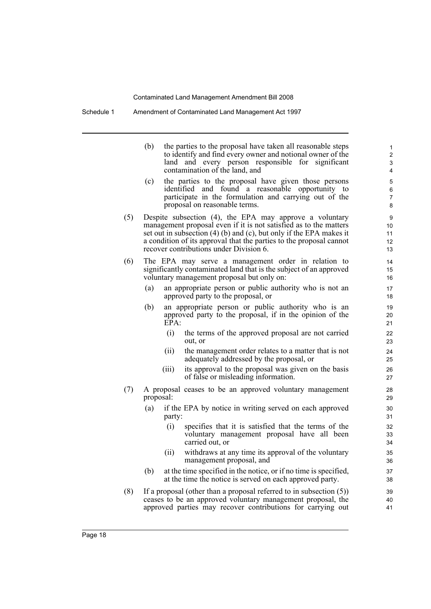Schedule 1 Amendment of Contaminated Land Management Act 1997

|     | (b)       |        | the parties to the proposal have taken all reasonable steps<br>to identify and find every owner and notional owner of the<br>land and every person responsible for significant<br>contamination of the land, and                                                                                                      | 1<br>2<br>3<br>4              |
|-----|-----------|--------|-----------------------------------------------------------------------------------------------------------------------------------------------------------------------------------------------------------------------------------------------------------------------------------------------------------------------|-------------------------------|
|     | (c)       |        | the parties to the proposal have given those persons<br>identified and found a reasonable opportunity to<br>participate in the formulation and carrying out of the<br>proposal on reasonable terms.                                                                                                                   | 5<br>6<br>$\overline{7}$<br>8 |
| (5) |           |        | Despite subsection (4), the EPA may approve a voluntary<br>management proposal even if it is not satisfied as to the matters<br>set out in subsection (4) (b) and (c), but only if the EPA makes it<br>a condition of its approval that the parties to the proposal cannot<br>recover contributions under Division 6. | 9<br>10<br>11<br>12<br>13     |
| (6) |           |        | The EPA may serve a management order in relation to<br>significantly contaminated land that is the subject of an approved<br>voluntary management proposal but only on:                                                                                                                                               | 14<br>15<br>16                |
|     | (a)       |        | an appropriate person or public authority who is not an<br>approved party to the proposal, or                                                                                                                                                                                                                         | 17<br>18                      |
|     | (b)       | EPA:   | an appropriate person or public authority who is an<br>approved party to the proposal, if in the opinion of the                                                                                                                                                                                                       | 19<br>20<br>21                |
|     |           | (i)    | the terms of the approved proposal are not carried<br>out, or                                                                                                                                                                                                                                                         | 22<br>23                      |
|     |           | (ii)   | the management order relates to a matter that is not<br>adequately addressed by the proposal, or                                                                                                                                                                                                                      | 24<br>25                      |
|     |           | (iii)  | its approval to the proposal was given on the basis<br>of false or misleading information.                                                                                                                                                                                                                            | 26<br>27                      |
| (7) | proposal: |        | A proposal ceases to be an approved voluntary management                                                                                                                                                                                                                                                              | 28<br>29                      |
|     | (a)       | party: | if the EPA by notice in writing served on each approved                                                                                                                                                                                                                                                               | 30<br>31                      |
|     |           | (i)    | specifies that it is satisfied that the terms of the<br>voluntary management proposal have all been<br>carried out, or                                                                                                                                                                                                | 32<br>33<br>34                |
|     |           | (ii)   | withdraws at any time its approval of the voluntary<br>management proposal, and                                                                                                                                                                                                                                       | 35<br>36                      |
|     | (b)       |        | at the time specified in the notice, or if no time is specified,<br>at the time the notice is served on each approved party.                                                                                                                                                                                          | 37<br>38                      |
| (8) |           |        | If a proposal (other than a proposal referred to in subsection $(5)$ )<br>ceases to be an approved voluntary management proposal, the<br>approved parties may recover contributions for carrying out                                                                                                                  | 39<br>40<br>41                |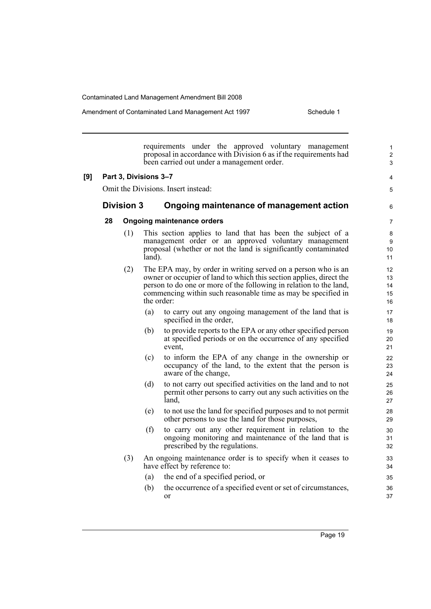Amendment of Contaminated Land Management Act 1997 Schedule 1

requirements under the approved voluntary management proposal in accordance with Division 6 as if the requirements had been carried out under a management order. **[9] Part 3, Divisions 3–7** Omit the Divisions. Insert instead: **Division 3 Ongoing maintenance of management action 28 Ongoing maintenance orders** (1) This section applies to land that has been the subject of a management order or an approved voluntary management proposal (whether or not the land is significantly contaminated land). (2) The EPA may, by order in writing served on a person who is an owner or occupier of land to which this section applies, direct the person to do one or more of the following in relation to the land, commencing within such reasonable time as may be specified in the order: (a) to carry out any ongoing management of the land that is specified in the order, (b) to provide reports to the EPA or any other specified person at specified periods or on the occurrence of any specified event, (c) to inform the EPA of any change in the ownership or occupancy of the land, to the extent that the person is aware of the change, (d) to not carry out specified activities on the land and to not permit other persons to carry out any such activities on the land, (e) to not use the land for specified purposes and to not permit other persons to use the land for those purposes, (f) to carry out any other requirement in relation to the ongoing monitoring and maintenance of the land that is prescribed by the regulations. (3) An ongoing maintenance order is to specify when it ceases to have effect by reference to: (a) the end of a specified period, or (b) the occurrence of a specified event or set of circumstances, or 1  $\overline{2}$ 3 4 5 6 7 8 9 10 11 12 13 14 15 16 17 18 19 20 21 22 23 24 25 26 27 28 29 30 31 32 33 34 35 36 37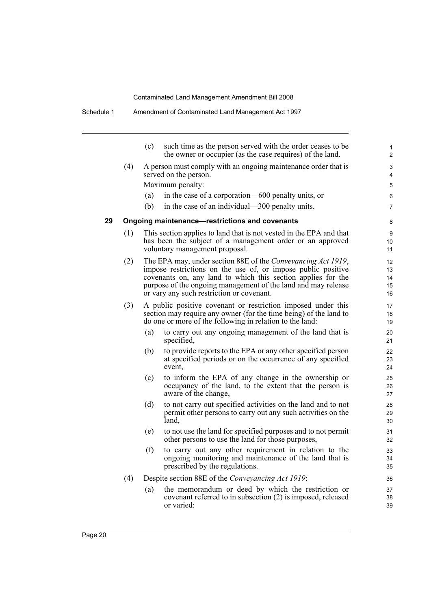|    |     | (c) | such time as the person served with the order ceases to be<br>the owner or occupier (as the case requires) of the land.                                                                                                                                                                                    | 1<br>$\overline{2}$        |
|----|-----|-----|------------------------------------------------------------------------------------------------------------------------------------------------------------------------------------------------------------------------------------------------------------------------------------------------------------|----------------------------|
|    | (4) |     | A person must comply with an ongoing maintenance order that is<br>served on the person.                                                                                                                                                                                                                    | 3<br>4                     |
|    |     |     | Maximum penalty:                                                                                                                                                                                                                                                                                           | 5                          |
|    |     | (a) | in the case of a corporation—600 penalty units, or                                                                                                                                                                                                                                                         | 6                          |
|    |     | (b) | in the case of an individual—300 penalty units.                                                                                                                                                                                                                                                            | $\overline{7}$             |
| 29 |     |     | Ongoing maintenance-restrictions and covenants                                                                                                                                                                                                                                                             | 8                          |
|    | (1) |     | This section applies to land that is not vested in the EPA and that<br>has been the subject of a management order or an approved<br>voluntary management proposal.                                                                                                                                         | 9<br>10<br>11              |
|    | (2) |     | The EPA may, under section 88E of the Conveyancing Act 1919,<br>impose restrictions on the use of, or impose public positive<br>covenants on, any land to which this section applies for the<br>purpose of the ongoing management of the land and may release<br>or vary any such restriction or covenant. | 12<br>13<br>14<br>15<br>16 |
|    | (3) |     | A public positive covenant or restriction imposed under this<br>section may require any owner (for the time being) of the land to<br>do one or more of the following in relation to the land:                                                                                                              | 17<br>18<br>19             |
|    |     | (a) | to carry out any ongoing management of the land that is<br>specified,                                                                                                                                                                                                                                      | 20<br>21                   |
|    |     | (b) | to provide reports to the EPA or any other specified person<br>at specified periods or on the occurrence of any specified<br>event,                                                                                                                                                                        | 22<br>23<br>24             |
|    |     | (c) | to inform the EPA of any change in the ownership or<br>occupancy of the land, to the extent that the person is<br>aware of the change,                                                                                                                                                                     | 25<br>26<br>27             |
|    |     | (d) | to not carry out specified activities on the land and to not<br>permit other persons to carry out any such activities on the<br>land.                                                                                                                                                                      | 28<br>29<br>30             |
|    |     | (e) | to not use the land for specified purposes and to not permit<br>other persons to use the land for those purposes,                                                                                                                                                                                          | 31<br>32                   |
|    |     | (f) | to carry out any other requirement in relation to the<br>ongoing monitoring and maintenance of the land that is<br>prescribed by the regulations.                                                                                                                                                          | 33<br>34<br>35             |
|    | (4) |     | Despite section 88E of the Conveyancing Act 1919:                                                                                                                                                                                                                                                          | 36                         |
|    |     | (a) | the memorandum or deed by which the restriction or<br>covenant referred to in subsection (2) is imposed, released<br>or varied:                                                                                                                                                                            | 37<br>38<br>39             |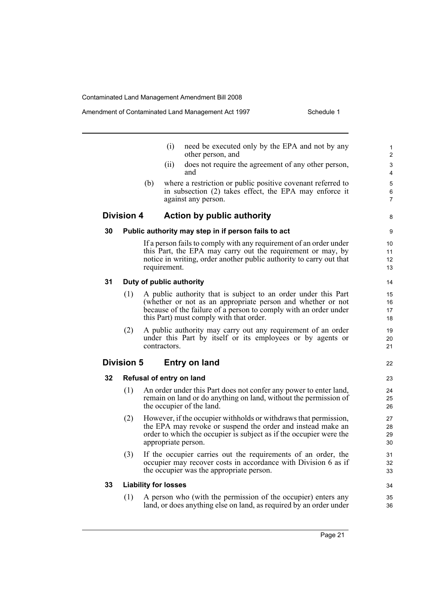8

36

|    |                   |                             | (i)          | need be executed only by the EPA and not by any<br>other person, and                                                                                                                                                                         | $\mathbf{1}$<br>$\overline{2}$ |
|----|-------------------|-----------------------------|--------------|----------------------------------------------------------------------------------------------------------------------------------------------------------------------------------------------------------------------------------------------|--------------------------------|
|    |                   |                             | (ii)         | does not require the agreement of any other person,<br>and                                                                                                                                                                                   | 3<br>4                         |
|    |                   | (b)                         |              | where a restriction or public positive covenant referred to<br>in subsection (2) takes effect, the EPA may enforce it<br>against any person.                                                                                                 | 5<br>6<br>$\overline{7}$       |
|    | <b>Division 4</b> |                             |              | <b>Action by public authority</b>                                                                                                                                                                                                            | 8                              |
| 30 |                   |                             |              | Public authority may step in if person fails to act                                                                                                                                                                                          | 9                              |
|    |                   |                             | requirement. | If a person fails to comply with any requirement of an order under<br>this Part, the EPA may carry out the requirement or may, by<br>notice in writing, order another public authority to carry out that                                     | 10<br>11<br>12<br>13           |
| 31 |                   |                             |              | Duty of public authority                                                                                                                                                                                                                     | 14                             |
|    | (1)               |                             |              | A public authority that is subject to an order under this Part<br>(whether or not as an appropriate person and whether or not<br>because of the failure of a person to comply with an order under<br>this Part) must comply with that order. | 15<br>16<br>17<br>18           |
|    | (2)               |                             | contractors. | A public authority may carry out any requirement of an order<br>under this Part by itself or its employees or by agents or                                                                                                                   | 19<br>20<br>21                 |
|    | <b>Division 5</b> |                             |              | <b>Entry on land</b>                                                                                                                                                                                                                         | 22                             |
| 32 |                   |                             |              | Refusal of entry on land                                                                                                                                                                                                                     | 23                             |
|    | (1)               |                             |              | An order under this Part does not confer any power to enter land,<br>remain on land or do anything on land, without the permission of<br>the occupier of the land.                                                                           | 24<br>25<br>26                 |
|    | (2)               |                             |              | However, if the occupier withholds or withdraws that permission,<br>the EPA may revoke or suspend the order and instead make an<br>order to which the occupier is subject as if the occupier were the<br>appropriate person.                 | 27<br>28<br>29<br>30           |
|    | (3)               |                             |              | If the occupier carries out the requirements of an order, the<br>occupier may recover costs in accordance with Division 6 as if<br>the occupier was the appropriate person.                                                                  | 31<br>32<br>33                 |
| 33 |                   | <b>Liability for losses</b> |              |                                                                                                                                                                                                                                              | 34                             |
|    | (1)               |                             |              | A person who (with the permission of the occupier) enters any                                                                                                                                                                                | 35                             |

land, or does anything else on land, as required by an order under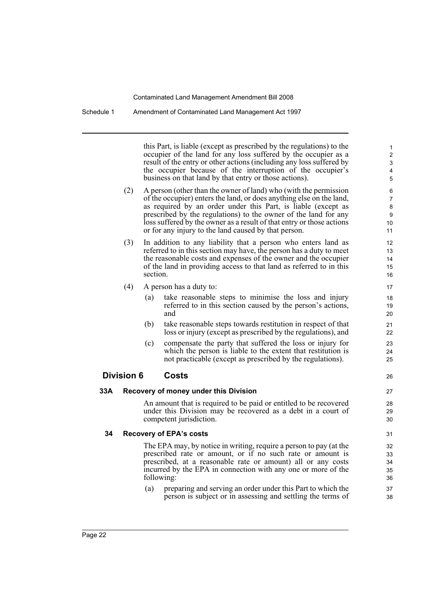Schedule 1 Amendment of Contaminated Land Management Act 1997

this Part, is liable (except as prescribed by the regulations) to the occupier of the land for any loss suffered by the occupier as a result of the entry or other actions (including any loss suffered by the occupier because of the interruption of the occupier's business on that land by that entry or those actions).

26

- (2) A person (other than the owner of land) who (with the permission of the occupier) enters the land, or does anything else on the land, as required by an order under this Part, is liable (except as prescribed by the regulations) to the owner of the land for any loss suffered by the owner as a result of that entry or those actions or for any injury to the land caused by that person.
- (3) In addition to any liability that a person who enters land as referred to in this section may have, the person has a duty to meet the reasonable costs and expenses of the owner and the occupier of the land in providing access to that land as referred to in this section.
- (4) A person has a duty to:
	- (a) take reasonable steps to minimise the loss and injury referred to in this section caused by the person's actions, and
	- (b) take reasonable steps towards restitution in respect of that loss or injury (except as prescribed by the regulations), and
	- (c) compensate the party that suffered the loss or injury for which the person is liable to the extent that restitution is not practicable (except as prescribed by the regulations).

#### **Division 6 Costs**

#### **33A Recovery of money under this Division**

An amount that is required to be paid or entitled to be recovered under this Division may be recovered as a debt in a court of competent jurisdiction.

#### **34 Recovery of EPA's costs**

The EPA may, by notice in writing, require a person to pay (at the prescribed rate or amount, or if no such rate or amount is prescribed, at a reasonable rate or amount) all or any costs incurred by the EPA in connection with any one or more of the following:

(a) preparing and serving an order under this Part to which the person is subject or in assessing and settling the terms of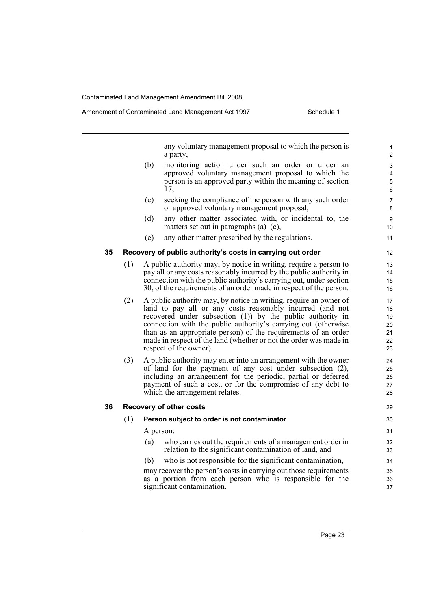any voluntary management proposal to which the person is a party, (b) monitoring action under such an order or under an approved voluntary management proposal to which the person is an approved party within the meaning of section 17, (c) seeking the compliance of the person with any such order or approved voluntary management proposal, (d) any other matter associated with, or incidental to, the matters set out in paragraphs  $(a)$ – $(c)$ , (e) any other matter prescribed by the regulations. **35 Recovery of public authority's costs in carrying out order** (1) A public authority may, by notice in writing, require a person to pay all or any costs reasonably incurred by the public authority in connection with the public authority's carrying out, under section 30, of the requirements of an order made in respect of the person. (2) A public authority may, by notice in writing, require an owner of land to pay all or any costs reasonably incurred (and not recovered under subsection (1)) by the public authority in connection with the public authority's carrying out (otherwise than as an appropriate person) of the requirements of an order made in respect of the land (whether or not the order was made in respect of the owner). (3) A public authority may enter into an arrangement with the owner of land for the payment of any cost under subsection (2), including an arrangement for the periodic, partial or deferred payment of such a cost, or for the compromise of any debt to which the arrangement relates. **36 Recovery of other costs** (1) **Person subject to order is not contaminator** A person: (a) who carries out the requirements of a management order in relation to the significant contamination of land, and (b) who is not responsible for the significant contamination, may recover the person's costs in carrying out those requirements as a portion from each person who is responsible for the significant contamination. 10 11 12 13 14 15 16 17 18 19 20 21 22 23  $24$ 25 26 27 28 29 30 31 32 33 34 35 36 37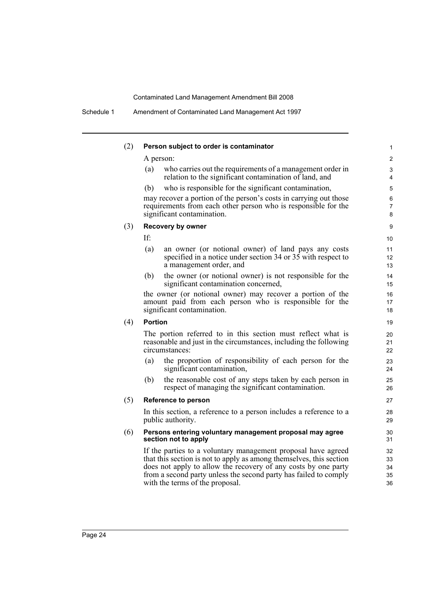| (2) | Person subject to order is contaminator                                                                                                                                                                                                                                                                       | 1                           |
|-----|---------------------------------------------------------------------------------------------------------------------------------------------------------------------------------------------------------------------------------------------------------------------------------------------------------------|-----------------------------|
|     | A person:                                                                                                                                                                                                                                                                                                     | 2                           |
|     | who carries out the requirements of a management order in<br>(a)<br>relation to the significant contamination of land, and                                                                                                                                                                                    | 3<br>4                      |
|     | who is responsible for the significant contamination,<br>(b)                                                                                                                                                                                                                                                  | 5                           |
|     | may recover a portion of the person's costs in carrying out those<br>requirements from each other person who is responsible for the<br>significant contamination.                                                                                                                                             | 6<br>7<br>8                 |
| (3) | <b>Recovery by owner</b>                                                                                                                                                                                                                                                                                      | 9                           |
|     | If:                                                                                                                                                                                                                                                                                                           | 10                          |
|     | (a)<br>an owner (or notional owner) of land pays any costs<br>specified in a notice under section 34 or 35 with respect to<br>a management order, and                                                                                                                                                         | 11<br>12 <sup>2</sup><br>13 |
|     | the owner (or notional owner) is not responsible for the<br>(b)<br>significant contamination concerned,                                                                                                                                                                                                       | 14<br>15                    |
|     | the owner (or notional owner) may recover a portion of the<br>amount paid from each person who is responsible for the<br>significant contamination.                                                                                                                                                           | 16<br>17<br>18              |
| (4) | <b>Portion</b>                                                                                                                                                                                                                                                                                                | 19                          |
|     | The portion referred to in this section must reflect what is<br>reasonable and just in the circumstances, including the following<br>circumstances:                                                                                                                                                           | 20<br>21<br>22              |
|     | the proportion of responsibility of each person for the<br>(a)<br>significant contamination,                                                                                                                                                                                                                  | 23<br>24                    |
|     | the reasonable cost of any steps taken by each person in<br>(b)<br>respect of managing the significant contamination.                                                                                                                                                                                         | 25<br>26                    |
| (5) | Reference to person                                                                                                                                                                                                                                                                                           | 27                          |
|     | In this section, a reference to a person includes a reference to a<br>public authority.                                                                                                                                                                                                                       | 28<br>29                    |
| (6) | Persons entering voluntary management proposal may agree<br>section not to apply                                                                                                                                                                                                                              | 30<br>31                    |
|     | If the parties to a voluntary management proposal have agreed<br>that this section is not to apply as among themselves, this section<br>does not apply to allow the recovery of any costs by one party<br>from a second party unless the second party has failed to comply<br>with the terms of the proposal. | 32<br>33<br>34<br>35<br>36  |
|     |                                                                                                                                                                                                                                                                                                               |                             |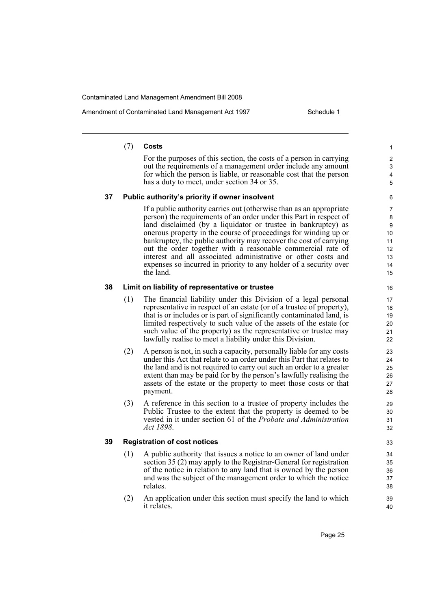Amendment of Contaminated Land Management Act 1997 Schedule 1

#### (7) **Costs**

For the purposes of this section, the costs of a person in carrying out the requirements of a management order include any amount for which the person is liable, or reasonable cost that the person has a duty to meet, under section 34 or 35.

#### **37 Public authority's priority if owner insolvent**

If a public authority carries out (otherwise than as an appropriate person) the requirements of an order under this Part in respect of land disclaimed (by a liquidator or trustee in bankruptcy) as onerous property in the course of proceedings for winding up or bankruptcy, the public authority may recover the cost of carrying out the order together with a reasonable commercial rate of interest and all associated administrative or other costs and expenses so incurred in priority to any holder of a security over the land.

#### **38 Limit on liability of representative or trustee**

- (1) The financial liability under this Division of a legal personal representative in respect of an estate (or of a trustee of property), that is or includes or is part of significantly contaminated land, is limited respectively to such value of the assets of the estate (or such value of the property) as the representative or trustee may lawfully realise to meet a liability under this Division.
- (2) A person is not, in such a capacity, personally liable for any costs under this Act that relate to an order under this Part that relates to the land and is not required to carry out such an order to a greater extent than may be paid for by the person's lawfully realising the assets of the estate or the property to meet those costs or that payment.
- (3) A reference in this section to a trustee of property includes the Public Trustee to the extent that the property is deemed to be vested in it under section 61 of the *Probate and Administration Act 1898*.

#### **39 Registration of cost notices**

- (1) A public authority that issues a notice to an owner of land under section 35 (2) may apply to the Registrar-General for registration of the notice in relation to any land that is owned by the person and was the subject of the management order to which the notice relates.
- (2) An application under this section must specify the land to which it relates.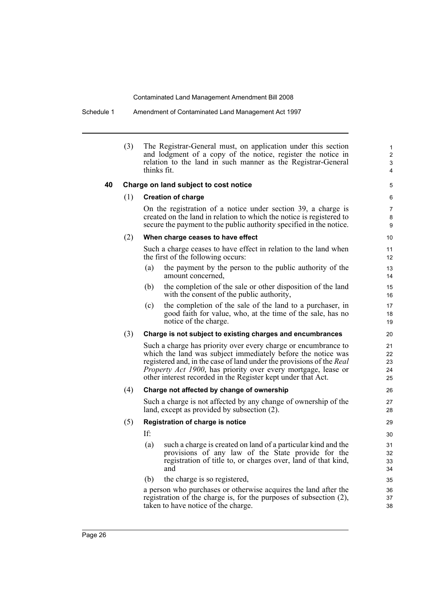Schedule 1 Amendment of Contaminated Land Management Act 1997

|    | (3) | The Registrar-General must, on application under this section<br>and lodgment of a copy of the notice, register the notice in<br>relation to the land in such manner as the Registrar-General<br>thinks fit. |
|----|-----|--------------------------------------------------------------------------------------------------------------------------------------------------------------------------------------------------------------|
| 40 |     | Charge on land subject to cost notice                                                                                                                                                                        |
|    | (1) | <b>Creation of charge</b>                                                                                                                                                                                    |
|    |     | On the registration of a notice under section 39, a charge is<br>created on the land in relation to which the notice is registered to<br>secure the payment to the public authority specified in the notice. |
|    | (2) | When charge ceases to have effect                                                                                                                                                                            |
|    |     | Such a charge ceases to have effect in relation to the land when<br>the first of the following occurs:                                                                                                       |
|    |     | the payment by the person to the public authority of the<br>(a)<br>amount concerned,                                                                                                                         |

(b) the completion of the sale or other disposition of the land with the consent of the public authority,

(c) the completion of the sale of the land to a purchaser, in good faith for value, who, at the time of the sale, has no notice of the charge.

#### (3) **Charge is not subject to existing charges and encumbrances**

Such a charge has priority over every charge or encumbrance to which the land was subject immediately before the notice was registered and, in the case of land under the provisions of the *Real Property Act 1900*, has priority over every mortgage, lease or other interest recorded in the Register kept under that Act.

#### (4) **Charge not affected by change of ownership**

Such a charge is not affected by any change of ownership of the land, except as provided by subsection (2).

#### (5) **Registration of charge is notice**

- If:
- (a) such a charge is created on land of a particular kind and the provisions of any law of the State provide for the registration of title to, or charges over, land of that kind, and
- (b) the charge is so registered,

a person who purchases or otherwise acquires the land after the registration of the charge is, for the purposes of subsection (2), taken to have notice of the charge.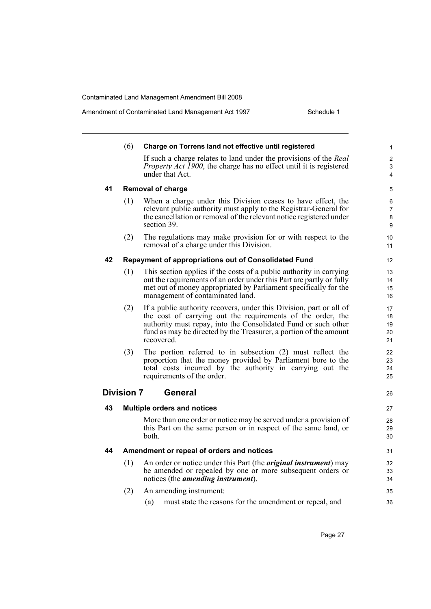Amendment of Contaminated Land Management Act 1997 Schedule 1

|    | (6)               | Charge on Torrens land not effective until registered                                                                              | $\mathbf{1}$   |
|----|-------------------|------------------------------------------------------------------------------------------------------------------------------------|----------------|
|    |                   | If such a charge relates to land under the provisions of the Real                                                                  | $\overline{c}$ |
|    |                   | <i>Property Act 1900</i> , the charge has no effect until it is registered                                                         | 3              |
|    |                   | under that Act.                                                                                                                    | 4              |
| 41 |                   | <b>Removal of charge</b>                                                                                                           | 5              |
|    | (1)               | When a charge under this Division ceases to have effect, the                                                                       | 6              |
|    |                   | relevant public authority must apply to the Registrar-General for                                                                  | 7              |
|    |                   | the cancellation or removal of the relevant notice registered under<br>section 39.                                                 | 8<br>9         |
|    | (2)               | The regulations may make provision for or with respect to the                                                                      | 10             |
|    |                   | removal of a charge under this Division.                                                                                           | 11             |
| 42 |                   | Repayment of appropriations out of Consolidated Fund                                                                               | 12             |
|    | (1)               | This section applies if the costs of a public authority in carrying                                                                | 13             |
|    |                   | out the requirements of an order under this Part are partly or fully                                                               | 14             |
|    |                   | met out of money appropriated by Parliament specifically for the<br>management of contaminated land.                               | 15<br>16       |
|    |                   |                                                                                                                                    |                |
|    | (2)               | If a public authority recovers, under this Division, part or all of<br>the cost of carrying out the requirements of the order, the | 17<br>18       |
|    |                   | authority must repay, into the Consolidated Fund or such other                                                                     | 19             |
|    |                   | fund as may be directed by the Treasurer, a portion of the amount                                                                  | 20             |
|    |                   | recovered.                                                                                                                         | 21             |
|    | (3)               | The portion referred to in subsection $(2)$ must reflect the                                                                       | 22             |
|    |                   | proportion that the money provided by Parliament bore to the                                                                       | 23             |
|    |                   | total costs incurred by the authority in carrying out the<br>requirements of the order.                                            | 24<br>25       |
|    |                   |                                                                                                                                    |                |
|    | <b>Division 7</b> | General                                                                                                                            | 26             |
| 43 |                   | <b>Multiple orders and notices</b>                                                                                                 | 27             |
|    |                   | More than one order or notice may be served under a provision of                                                                   | 28             |
|    |                   | this Part on the same person or in respect of the same land, or                                                                    | 29             |
|    |                   | both.                                                                                                                              | 30             |
| 44 |                   | Amendment or repeal of orders and notices                                                                                          | 31             |
|    |                   | (1) An order or notice under this Part (the <i>original instrument</i> ) may                                                       | 32             |
|    |                   | be amended or repealed by one or more subsequent orders or                                                                         | 33             |
|    |                   | notices (the <i>amending instrument</i> ).                                                                                         | 34             |
|    | (2)               | An amending instrument:                                                                                                            | 35             |
|    |                   | must state the reasons for the amendment or repeal, and<br>(a)                                                                     | 36             |
|    |                   |                                                                                                                                    |                |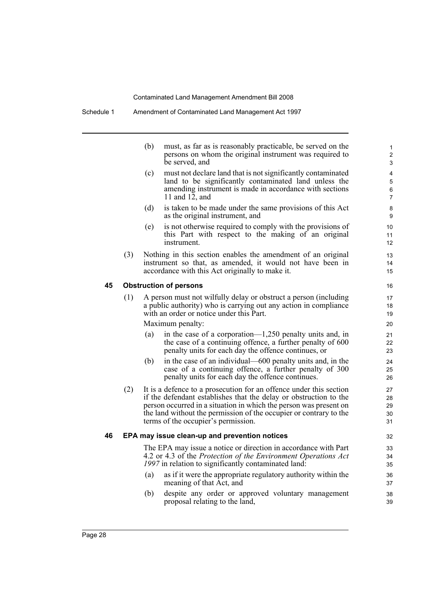|    |     | (b) | must, as far as is reasonably practicable, be served on the<br>persons on whom the original instrument was required to<br>be served, and                                                                                                                                                                                  |
|----|-----|-----|---------------------------------------------------------------------------------------------------------------------------------------------------------------------------------------------------------------------------------------------------------------------------------------------------------------------------|
|    |     | (c) | must not declare land that is not significantly contaminated<br>land to be significantly contaminated land unless the<br>amending instrument is made in accordance with sections<br>11 and $12$ , and                                                                                                                     |
|    |     | (d) | is taken to be made under the same provisions of this Act<br>as the original instrument, and                                                                                                                                                                                                                              |
|    |     | (e) | is not otherwise required to comply with the provisions of<br>this Part with respect to the making of an original<br>instrument                                                                                                                                                                                           |
|    | (3) |     | Nothing in this section enables the amendment of an original<br>instrument so that, as amended, it would not have been in<br>accordance with this Act originally to make it.                                                                                                                                              |
| 45 |     |     | <b>Obstruction of persons</b>                                                                                                                                                                                                                                                                                             |
|    | (1) |     | A person must not wilfully delay or obstruct a person (including<br>a public authority) who is carrying out any action in compliance<br>with an order or notice under this Part.<br>Maximum penalty:                                                                                                                      |
|    |     | (a) | in the case of a corporation— $1,250$ penalty units and, in<br>the case of a continuing offence, a further penalty of 600<br>penalty units for each day the offence continues, or                                                                                                                                         |
|    |     | (b) | in the case of an individual—600 penalty units and, in the<br>case of a continuing offence, a further penalty of 300<br>penalty units for each day the offence continues.                                                                                                                                                 |
|    | (2) |     | It is a defence to a prosecution for an offence under this section<br>if the defendant establishes that the delay or obstruction to the<br>person occurred in a situation in which the person was present on<br>the land without the permission of the occupier or contrary to the<br>terms of the occupier's permission. |
| 46 |     |     | EPA may issue clean-up and prevention notices                                                                                                                                                                                                                                                                             |
|    |     |     | The EPA may issue a notice or direction in accordance with Part<br>4.2 or 4.3 of the Protection of the Environment Operations Act<br>1997 in relation to significantly contaminated land:                                                                                                                                 |
|    |     | (a) | as if it were the appropriate regulatory authority within the<br>meaning of that Act, and                                                                                                                                                                                                                                 |

(b) despite any order or approved voluntary management proposal relating to the land,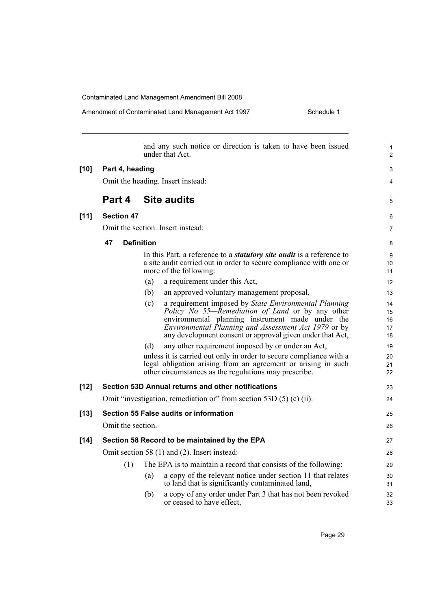Amendment of Contaminated Land Management Act 1997 Schedule 1

|        |                   | and any such notice or direction is taken to have been issued<br>under that Act.                                                                                                                                                                                                          | 1<br>2                     |  |  |  |
|--------|-------------------|-------------------------------------------------------------------------------------------------------------------------------------------------------------------------------------------------------------------------------------------------------------------------------------------|----------------------------|--|--|--|
| $[10]$ | Part 4, heading   |                                                                                                                                                                                                                                                                                           |                            |  |  |  |
|        |                   | Omit the heading. Insert instead:                                                                                                                                                                                                                                                         | 4                          |  |  |  |
|        | Part 4            | <b>Site audits</b>                                                                                                                                                                                                                                                                        | 5                          |  |  |  |
| [11]   | <b>Section 47</b> |                                                                                                                                                                                                                                                                                           | 6                          |  |  |  |
|        |                   | Omit the section. Insert instead:                                                                                                                                                                                                                                                         | $\overline{7}$             |  |  |  |
|        | 47                | <b>Definition</b>                                                                                                                                                                                                                                                                         | 8                          |  |  |  |
|        |                   | In this Part, a reference to a <i>statutory site audit</i> is a reference to<br>a site audit carried out in order to secure compliance with one or<br>more of the following:                                                                                                              | 9<br>10<br>11              |  |  |  |
|        |                   | a requirement under this Act,<br>(a)                                                                                                                                                                                                                                                      | 12                         |  |  |  |
|        |                   | (b)<br>an approved voluntary management proposal,                                                                                                                                                                                                                                         | 13                         |  |  |  |
|        |                   | (c)<br>a requirement imposed by State Environmental Planning<br>Policy No 55—Remediation of Land or by any other<br>environmental planning instrument made under the<br>Environmental Planning and Assessment Act 1979 or by<br>any development consent or approval given under that Act, | 14<br>15<br>16<br>17<br>18 |  |  |  |
|        |                   | any other requirement imposed by or under an Act,<br>(d)                                                                                                                                                                                                                                  | 19                         |  |  |  |
|        |                   | unless it is carried out only in order to secure compliance with a<br>legal obligation arising from an agreement or arising in such<br>other circumstances as the regulations may prescribe.                                                                                              | 20<br>21<br>22             |  |  |  |
| $[12]$ |                   | Section 53D Annual returns and other notifications                                                                                                                                                                                                                                        | 23                         |  |  |  |
|        |                   | Omit "investigation, remediation or" from section 53D (5) (c) (ii).                                                                                                                                                                                                                       | 24                         |  |  |  |
| $[13]$ |                   | Section 55 False audits or information                                                                                                                                                                                                                                                    | 25                         |  |  |  |
|        | Omit the section. |                                                                                                                                                                                                                                                                                           | 26                         |  |  |  |
| $[14]$ |                   | Section 58 Record to be maintained by the EPA                                                                                                                                                                                                                                             | 27                         |  |  |  |
|        |                   | Omit section 58 (1) and (2). Insert instead:                                                                                                                                                                                                                                              | 28                         |  |  |  |
|        | (1)               | The EPA is to maintain a record that consists of the following:                                                                                                                                                                                                                           | 29                         |  |  |  |
|        |                   | a copy of the relevant notice under section 11 that relates<br>(a)<br>to land that is significantly contaminated land,                                                                                                                                                                    | 30<br>31                   |  |  |  |
|        |                   | a copy of any order under Part 3 that has not been revoked<br>(b)<br>or ceased to have effect.                                                                                                                                                                                            | 32<br>33                   |  |  |  |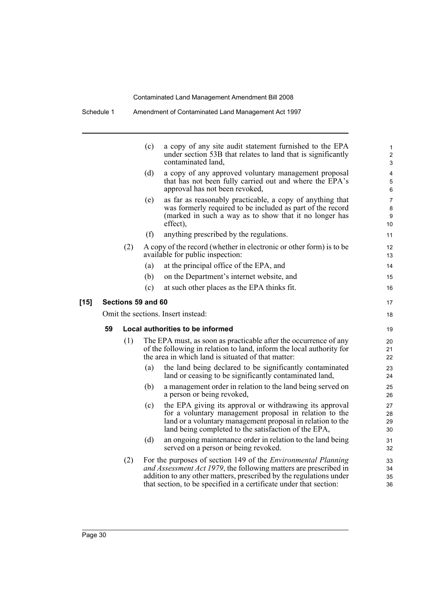|        |                                    |                    | (c) | a copy of any site audit statement furnished to the EPA<br>under section 53B that relates to land that is significantly<br>contaminated land,                                                                                                                                        | 1<br>$\overline{\mathbf{c}}$<br>3 |  |
|--------|------------------------------------|--------------------|-----|--------------------------------------------------------------------------------------------------------------------------------------------------------------------------------------------------------------------------------------------------------------------------------------|-----------------------------------|--|
|        |                                    |                    | (d) | a copy of any approved voluntary management proposal<br>that has not been fully carried out and where the EPA's<br>approval has not been revoked,                                                                                                                                    | 4<br>5<br>6                       |  |
|        |                                    |                    | (e) | as far as reasonably practicable, a copy of anything that<br>was formerly required to be included as part of the record<br>(marked in such a way as to show that it no longer has<br>effect),                                                                                        | 7<br>8<br>9<br>10                 |  |
|        |                                    |                    | (f) | anything prescribed by the regulations.                                                                                                                                                                                                                                              | 11                                |  |
|        |                                    | (2)                |     | A copy of the record (whether in electronic or other form) is to be<br>available for public inspection:                                                                                                                                                                              | 12<br>13                          |  |
|        |                                    |                    | (a) | at the principal office of the EPA, and                                                                                                                                                                                                                                              | 14                                |  |
|        |                                    |                    | (b) | on the Department's internet website, and                                                                                                                                                                                                                                            | 15                                |  |
|        |                                    |                    | (c) | at such other places as the EPA thinks fit.                                                                                                                                                                                                                                          | 16                                |  |
| $[15]$ |                                    | Sections 59 and 60 |     |                                                                                                                                                                                                                                                                                      | 17                                |  |
|        | Omit the sections. Insert instead: |                    |     |                                                                                                                                                                                                                                                                                      |                                   |  |
|        | 59                                 |                    |     | Local authorities to be informed                                                                                                                                                                                                                                                     | 19                                |  |
|        |                                    | (1)                |     | The EPA must, as soon as practicable after the occurrence of any<br>of the following in relation to land, inform the local authority for<br>the area in which land is situated of that matter:                                                                                       | 20<br>21<br>22                    |  |
|        |                                    |                    | (a) | the land being declared to be significantly contaminated<br>land or ceasing to be significantly contaminated land,                                                                                                                                                                   | 23<br>24                          |  |
|        |                                    |                    | (b) | a management order in relation to the land being served on<br>a person or being revoked,                                                                                                                                                                                             | 25<br>26                          |  |
|        |                                    |                    | (c) | the EPA giving its approval or withdrawing its approval<br>for a voluntary management proposal in relation to the<br>land or a voluntary management proposal in relation to the<br>land being completed to the satisfaction of the EPA,                                              | 27<br>28<br>29<br>30              |  |
|        |                                    |                    | (d) | an ongoing maintenance order in relation to the land being<br>served on a person or being revoked.                                                                                                                                                                                   | 31<br>32                          |  |
|        |                                    | (2)                |     | For the purposes of section 149 of the <i>Environmental Planning</i><br>and Assessment Act 1979, the following matters are prescribed in<br>addition to any other matters, prescribed by the regulations under<br>that section, to be specified in a certificate under that section: | 33<br>34<br>35<br>36              |  |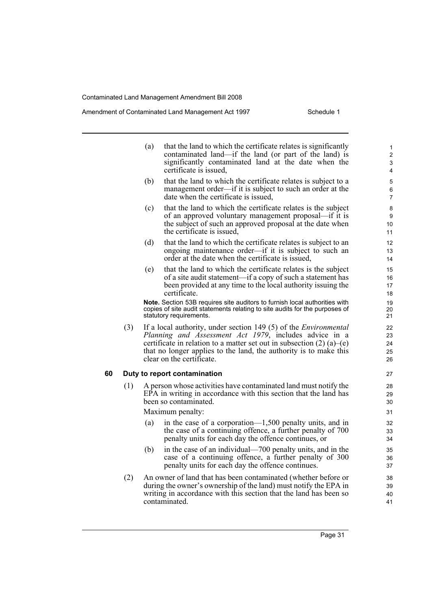#### Amendment of Contaminated Land Management Act 1997 Schedule 1

- (a) that the land to which the certificate relates is significantly contaminated land—if the land (or part of the land) is significantly contaminated land at the date when the certificate is issued,
- (b) that the land to which the certificate relates is subject to a management order—if it is subject to such an order at the date when the certificate is issued,
- (c) that the land to which the certificate relates is the subject of an approved voluntary management proposal—if it is the subject of such an approved proposal at the date when the certificate is issued,
- (d) that the land to which the certificate relates is subject to an ongoing maintenance order—if it is subject to such an order at the date when the certificate is issued,
- (e) that the land to which the certificate relates is the subject of a site audit statement—if a copy of such a statement has been provided at any time to the local authority issuing the certificate.

**Note.** Section 53B requires site auditors to furnish local authorities with copies of site audit statements relating to site audits for the purposes of statutory requirements.

(3) If a local authority, under section 149 (5) of the *Environmental Planning and Assessment Act 1979*, includes advice in a certificate in relation to a matter set out in subsection  $(2)$  (a)–(e) that no longer applies to the land, the authority is to make this clear on the certificate.

#### **60 Duty to report contamination**

(1) A person whose activities have contaminated land must notify the EPA in writing in accordance with this section that the land has been so contaminated.

Maximum penalty:

- (a) in the case of a corporation—1,500 penalty units, and in the case of a continuing offence, a further penalty of 700 penalty units for each day the offence continues, or
- (b) in the case of an individual—700 penalty units, and in the case of a continuing offence, a further penalty of 300 penalty units for each day the offence continues.
- (2) An owner of land that has been contaminated (whether before or during the owner's ownership of the land) must notify the EPA in writing in accordance with this section that the land has been so contaminated.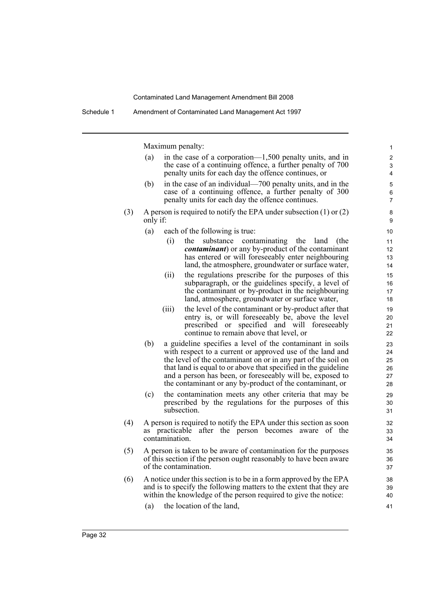|     |          | Maximum penalty:                                                                                                                                                                                                                                                                                                                                                                   | 1                                |
|-----|----------|------------------------------------------------------------------------------------------------------------------------------------------------------------------------------------------------------------------------------------------------------------------------------------------------------------------------------------------------------------------------------------|----------------------------------|
|     | (a)      | in the case of a corporation— $1,500$ penalty units, and in<br>the case of a continuing offence, a further penalty of 700<br>penalty units for each day the offence continues, or                                                                                                                                                                                                  | 2<br>3<br>4                      |
|     | (b)      | in the case of an individual—700 penalty units, and in the<br>case of a continuing offence, a further penalty of 300<br>penalty units for each day the offence continues.                                                                                                                                                                                                          | 5<br>6<br>$\overline{7}$         |
| (3) | only if: | A person is required to notify the EPA under subsection $(1)$ or $(2)$                                                                                                                                                                                                                                                                                                             | 8<br>9                           |
|     | (a)      | each of the following is true:                                                                                                                                                                                                                                                                                                                                                     | 10                               |
|     |          | (i)<br>the<br>substance<br>contaminating<br>the<br>land<br>(the<br><i>contaminant</i> ) or any by-product of the contaminant<br>has entered or will foreseeably enter neighbouring<br>land, the atmosphere, groundwater or surface water,                                                                                                                                          | 11<br>12<br>13<br>14             |
|     |          | the regulations prescribe for the purposes of this<br>(ii)<br>subparagraph, or the guidelines specify, a level of<br>the contaminant or by-product in the neighbouring<br>land, atmosphere, groundwater or surface water,                                                                                                                                                          | 15<br>16<br>17<br>18             |
|     |          | the level of the contaminant or by-product after that<br>(iii)<br>entry is, or will foreseeably be, above the level<br>prescribed or specified and will foreseeably<br>continue to remain above that level, or                                                                                                                                                                     | 19<br>20<br>21<br>22             |
|     | (b)      | a guideline specifies a level of the contaminant in soils<br>with respect to a current or approved use of the land and<br>the level of the contaminant on or in any part of the soil on<br>that land is equal to or above that specified in the guideline<br>and a person has been, or foreseeably will be, exposed to<br>the contaminant or any by-product of the contaminant, or | 23<br>24<br>25<br>26<br>27<br>28 |
|     | (c)      | the contamination meets any other criteria that may be<br>prescribed by the regulations for the purposes of this<br>subsection.                                                                                                                                                                                                                                                    | 29<br>30<br>31                   |
| (4) |          | A person is required to notify the EPA under this section as soon<br>as practicable after the person becomes<br>aware of the<br>contamination.                                                                                                                                                                                                                                     | 32<br>33<br>34                   |
| (5) |          | A person is taken to be aware of contamination for the purposes<br>of this section if the person ought reasonably to have been aware<br>of the contamination.                                                                                                                                                                                                                      | 35<br>36<br>37                   |
| (6) |          | A notice under this section is to be in a form approved by the EPA<br>and is to specify the following matters to the extent that they are<br>within the knowledge of the person required to give the notice:                                                                                                                                                                       | 38<br>39<br>40                   |
|     | (a)      | the location of the land,                                                                                                                                                                                                                                                                                                                                                          | 41                               |
|     |          |                                                                                                                                                                                                                                                                                                                                                                                    |                                  |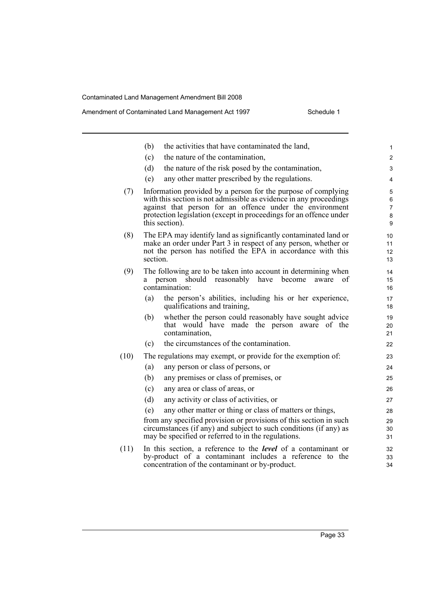|      | the activities that have contaminated the land,<br>(b)                                                                                                                                                                                                                                  | $\mathbf{1}$                       |
|------|-----------------------------------------------------------------------------------------------------------------------------------------------------------------------------------------------------------------------------------------------------------------------------------------|------------------------------------|
|      | the nature of the contamination,<br>(c)                                                                                                                                                                                                                                                 | $\overline{2}$                     |
|      | (d)<br>the nature of the risk posed by the contamination,                                                                                                                                                                                                                               | 3                                  |
|      | any other matter prescribed by the regulations.<br>(e)                                                                                                                                                                                                                                  | 4                                  |
| (7)  | Information provided by a person for the purpose of complying<br>with this section is not admissible as evidence in any proceedings<br>against that person for an offence under the environment<br>protection legislation (except in proceedings for an offence under<br>this section). | 5<br>6<br>$\overline{7}$<br>8<br>9 |
| (8)  | The EPA may identify land as significantly contaminated land or<br>make an order under Part 3 in respect of any person, whether or<br>not the person has notified the EPA in accordance with this<br>section.                                                                           | 10<br>11<br>12<br>13               |
| (9)  | The following are to be taken into account in determining when<br>should<br>reasonably<br>have<br>become<br>person<br>aware<br>a<br>contamination:                                                                                                                                      | 14<br>οf<br>15<br>16               |
|      | the person's abilities, including his or her experience,<br>(a)<br>qualifications and training,                                                                                                                                                                                         | 17<br>18                           |
|      | whether the person could reasonably have sought advice<br>(b)<br>that would have made the person aware of the<br>contamination,                                                                                                                                                         | 19<br>20<br>21                     |
|      | (c)<br>the circumstances of the contamination.                                                                                                                                                                                                                                          | 22                                 |
| (10) | The regulations may exempt, or provide for the exemption of:                                                                                                                                                                                                                            | 23                                 |
|      | any person or class of persons, or<br>(a)                                                                                                                                                                                                                                               | 24                                 |
|      | any premises or class of premises, or<br>(b)                                                                                                                                                                                                                                            | 25                                 |
|      | any area or class of areas, or<br>(c)                                                                                                                                                                                                                                                   | 26                                 |
|      | (d)<br>any activity or class of activities, or                                                                                                                                                                                                                                          | 27                                 |
|      | any other matter or thing or class of matters or things,<br>(e)                                                                                                                                                                                                                         | 28                                 |
|      | from any specified provision or provisions of this section in such<br>circumstances (if any) and subject to such conditions (if any) as<br>may be specified or referred to in the regulations.                                                                                          | 29<br>30<br>31                     |
| (11) | In this section, a reference to the <b>level</b> of a contaminant or<br>by-product of a contaminant includes a reference to the<br>concentration of the contaminant or by-product.                                                                                                      | 32<br>33<br>34                     |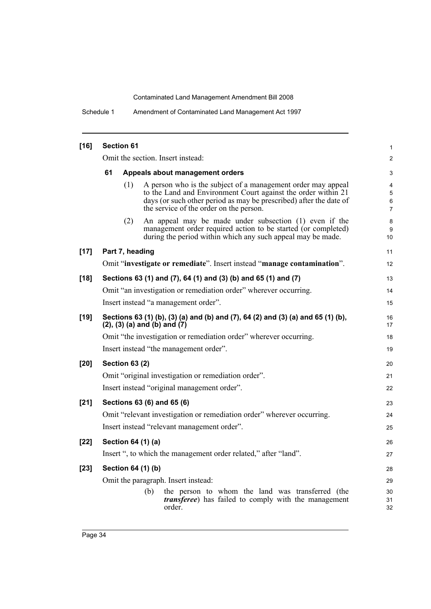Schedule 1 Amendment of Contaminated Land Management Act 1997

| $[16]$ | <b>Section 61</b>                     |                       |                                                                                                                                                                                                                                                |                               |  |  |
|--------|---------------------------------------|-----------------------|------------------------------------------------------------------------------------------------------------------------------------------------------------------------------------------------------------------------------------------------|-------------------------------|--|--|
|        |                                       |                       | Omit the section. Insert instead:                                                                                                                                                                                                              | 2                             |  |  |
|        | 61<br>Appeals about management orders |                       |                                                                                                                                                                                                                                                |                               |  |  |
|        |                                       | (1)                   | A person who is the subject of a management order may appeal<br>to the Land and Environment Court against the order within 21<br>days (or such other period as may be prescribed) after the date of<br>the service of the order on the person. | 4<br>5<br>6<br>$\overline{7}$ |  |  |
|        |                                       | (2)                   | An appeal may be made under subsection (1) even if the<br>management order required action to be started (or completed)<br>during the period within which any such appeal may be made.                                                         | 8<br>9<br>10                  |  |  |
| $[17]$ |                                       | Part 7, heading       |                                                                                                                                                                                                                                                | 11                            |  |  |
|        |                                       |                       | Omit "investigate or remediate". Insert instead "manage contamination".                                                                                                                                                                        | 12                            |  |  |
| $[18]$ |                                       |                       | Sections 63 (1) and (7), 64 (1) and (3) (b) and 65 (1) and (7)                                                                                                                                                                                 | 13                            |  |  |
|        |                                       |                       | Omit "an investigation or remediation order" wherever occurring.                                                                                                                                                                               | 14                            |  |  |
|        |                                       |                       | Insert instead "a management order".                                                                                                                                                                                                           | 15                            |  |  |
| $[19]$ |                                       |                       | Sections 63 (1) (b), (3) (a) and (b) and (7), 64 (2) and (3) (a) and 65 (1) (b),<br>$(2)$ , $(3)$ $(a)$ and $(b)$ and $(7)$                                                                                                                    | 16<br>17                      |  |  |
|        |                                       |                       | Omit "the investigation or remediation order" wherever occurring.                                                                                                                                                                              | 18                            |  |  |
|        |                                       |                       | Insert instead "the management order".                                                                                                                                                                                                         | 19                            |  |  |
| $[20]$ |                                       | <b>Section 63 (2)</b> |                                                                                                                                                                                                                                                | 20                            |  |  |
|        |                                       |                       | Omit "original investigation or remediation order".                                                                                                                                                                                            | 21                            |  |  |
|        |                                       |                       | Insert instead "original management order".                                                                                                                                                                                                    | 22                            |  |  |
| $[21]$ |                                       |                       | Sections 63 (6) and 65 (6)                                                                                                                                                                                                                     | 23                            |  |  |
|        |                                       |                       | Omit "relevant investigation or remediation order" wherever occurring.                                                                                                                                                                         | 24                            |  |  |
|        |                                       |                       | Insert instead "relevant management order".                                                                                                                                                                                                    | 25                            |  |  |
| $[22]$ |                                       | Section 64 (1) (a)    |                                                                                                                                                                                                                                                | 26                            |  |  |
|        |                                       |                       | Insert ", to which the management order related," after "land".                                                                                                                                                                                | 27                            |  |  |
| $[23]$ |                                       | Section 64 (1) (b)    |                                                                                                                                                                                                                                                | 28                            |  |  |
|        |                                       |                       | Omit the paragraph. Insert instead:                                                                                                                                                                                                            | 29                            |  |  |
|        |                                       |                       | (b)<br>the person to whom the land was transferred (the<br><i>transferee</i> ) has failed to comply with the management<br>order.                                                                                                              | 30<br>31<br>32                |  |  |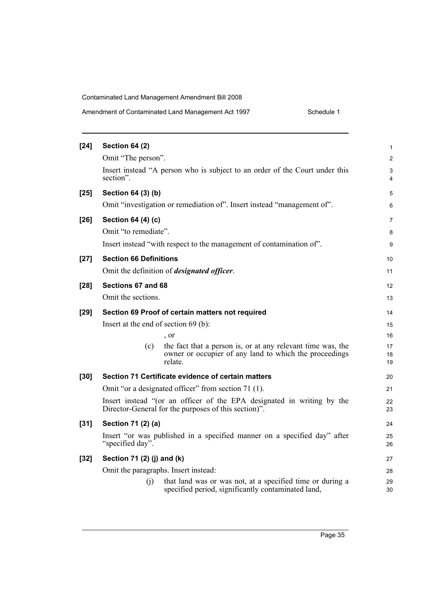| Amendment of Contaminated Land Management Act 1997 | Schedule 1 |
|----------------------------------------------------|------------|
|----------------------------------------------------|------------|

| $[24]$ | <b>Section 64 (2)</b><br>Omit "The person".                                                                                            | 1<br>$\overline{2}$ |
|--------|----------------------------------------------------------------------------------------------------------------------------------------|---------------------|
|        | Insert instead "A person who is subject to an order of the Court under this                                                            | 3                   |
|        | section".                                                                                                                              | 4                   |
| $[25]$ | Section 64 (3) (b)                                                                                                                     | 5                   |
|        | Omit "investigation or remediation of". Insert instead "management of".                                                                | 6                   |
| $[26]$ | Section 64 (4) (c)                                                                                                                     | 7                   |
|        | Omit "to remediate".                                                                                                                   | 8                   |
|        | Insert instead "with respect to the management of contamination of".                                                                   | 9                   |
| $[27]$ | <b>Section 66 Definitions</b>                                                                                                          | 10                  |
|        | Omit the definition of <i>designated officer</i> .                                                                                     | 11                  |
| $[28]$ | Sections 67 and 68                                                                                                                     | 12                  |
|        | Omit the sections.                                                                                                                     | 13                  |
| $[29]$ | Section 69 Proof of certain matters not required                                                                                       | 14                  |
|        | Insert at the end of section $69$ (b):                                                                                                 | 15                  |
|        | , or                                                                                                                                   | 16                  |
|        | the fact that a person is, or at any relevant time was, the<br>(c)<br>owner or occupier of any land to which the proceedings<br>relate | 17<br>18<br>19      |
| $[30]$ | Section 71 Certificate evidence of certain matters                                                                                     | 20                  |
|        | Omit "or a designated officer" from section 71 (1).                                                                                    | 21                  |
|        | Insert instead "(or an officer of the EPA designated in writing by the<br>Director-General for the purposes of this section)".         | 22<br>23            |
| $[31]$ | Section 71 (2) (a)                                                                                                                     | 24                  |
|        | Insert "or was published in a specified manner on a specified day" after<br>"specified day".                                           | 25<br>26            |
| $[32]$ | Section 71 (2) (j) and (k)                                                                                                             | 27                  |
|        | Omit the paragraphs. Insert instead:                                                                                                   | 28                  |
|        | (i)<br>that land was or was not, at a specified time or during a<br>specified period, significantly contaminated land,                 | 29<br>30            |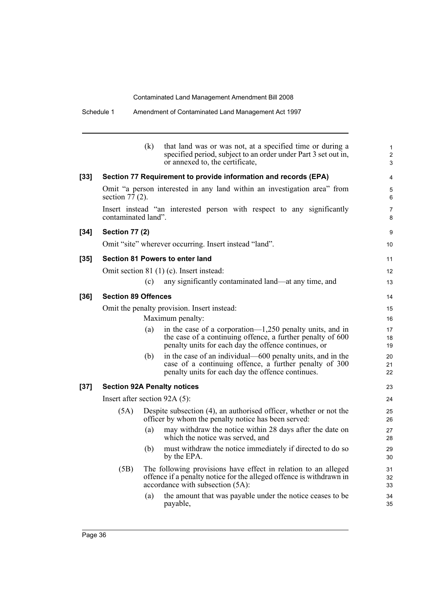|      |                               | (k) | that land was or was not, at a specified time or during a<br>specified period, subject to an order under Part 3 set out in,<br>or annexed to, the certificate,                    | $\mathbf{1}$<br>$\overline{2}$<br>3 |
|------|-------------------------------|-----|-----------------------------------------------------------------------------------------------------------------------------------------------------------------------------------|-------------------------------------|
| [33] |                               |     | Section 77 Requirement to provide information and records (EPA)                                                                                                                   | 4                                   |
|      | section $77(2)$ .             |     | Omit "a person interested in any land within an investigation area" from                                                                                                          | 5<br>6                              |
|      | contaminated land".           |     | Insert instead "an interested person with respect to any significantly                                                                                                            | 7<br>8                              |
| [34] | <b>Section 77 (2)</b>         |     |                                                                                                                                                                                   | 9                                   |
|      |                               |     | Omit "site" wherever occurring. Insert instead "land".                                                                                                                            | 10                                  |
| [35] |                               |     | <b>Section 81 Powers to enter land</b>                                                                                                                                            | 11                                  |
|      |                               |     | Omit section 81 (1) (c). Insert instead:                                                                                                                                          | 12                                  |
|      |                               | (c) | any significantly contaminated land—at any time, and                                                                                                                              | 13                                  |
| [36] | <b>Section 89 Offences</b>    |     |                                                                                                                                                                                   | 14                                  |
|      |                               |     | Omit the penalty provision. Insert instead:                                                                                                                                       | 15                                  |
|      |                               |     | Maximum penalty:                                                                                                                                                                  | 16                                  |
|      |                               | (a) | in the case of a corporation— $1,250$ penalty units, and in<br>the case of a continuing offence, a further penalty of 600<br>penalty units for each day the offence continues, or | 17<br>18<br>19                      |
|      |                               | (b) | in the case of an individual—600 penalty units, and in the<br>case of a continuing offence, a further penalty of 300<br>penalty units for each day the offence continues.         | 20<br>21<br>22                      |
| [37] |                               |     | <b>Section 92A Penalty notices</b>                                                                                                                                                | 23                                  |
|      | Insert after section 92A (5): |     |                                                                                                                                                                                   | 24                                  |
|      | (5A)                          |     | Despite subsection (4), an authorised officer, whether or not the<br>officer by whom the penalty notice has been served:                                                          | 25<br>26                            |
|      |                               | (a) | may withdraw the notice within 28 days after the date on<br>which the notice was served, and                                                                                      | 27<br>28                            |
|      |                               | (b) | must withdraw the notice immediately if directed to do so<br>by the EPA.                                                                                                          | 29<br>30                            |
|      | (5B)                          |     | The following provisions have effect in relation to an alleged<br>offence if a penalty notice for the alleged offence is withdrawn in<br>accordance with subsection (5A):         | 31<br>32<br>33                      |
|      |                               | (a) | the amount that was payable under the notice ceases to be<br>payable,                                                                                                             | 34<br>35                            |
|      |                               |     |                                                                                                                                                                                   |                                     |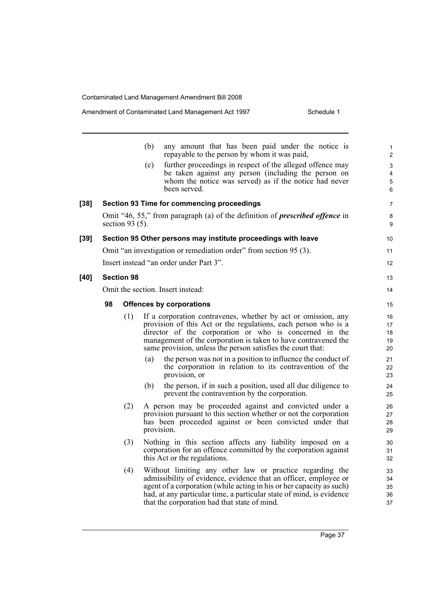| Amendment of Contaminated Land Management Act 1997 | Schedule 1 |
|----------------------------------------------------|------------|
|----------------------------------------------------|------------|

|        |                                   |                    | (b)        | any amount that has been paid under the notice is<br>repayable to the person by whom it was paid,                                                                                                                                                                                                                            | 1<br>2                        |  |
|--------|-----------------------------------|--------------------|------------|------------------------------------------------------------------------------------------------------------------------------------------------------------------------------------------------------------------------------------------------------------------------------------------------------------------------------|-------------------------------|--|
|        |                                   |                    | (c)        | further proceedings in respect of the alleged offence may<br>be taken against any person (including the person on<br>whom the notice was served) as if the notice had never<br>been served.                                                                                                                                  | 3<br>$\overline{4}$<br>5<br>6 |  |
| $[38]$ |                                   |                    |            | <b>Section 93 Time for commencing proceedings</b>                                                                                                                                                                                                                                                                            | 7                             |  |
|        |                                   | section 93 $(5)$ . |            | Omit "46, 55," from paragraph (a) of the definition of <i>prescribed offence</i> in                                                                                                                                                                                                                                          | 8<br>9                        |  |
| $[39]$ |                                   |                    |            | Section 95 Other persons may institute proceedings with leave                                                                                                                                                                                                                                                                | 10                            |  |
|        |                                   |                    |            | Omit "an investigation or remediation order" from section 95 (3).                                                                                                                                                                                                                                                            | 11                            |  |
|        |                                   |                    |            | Insert instead "an order under Part 3".                                                                                                                                                                                                                                                                                      | 12                            |  |
| [40]   | <b>Section 98</b>                 |                    |            |                                                                                                                                                                                                                                                                                                                              | 13                            |  |
|        | Omit the section. Insert instead: |                    |            |                                                                                                                                                                                                                                                                                                                              |                               |  |
|        | 98                                |                    |            | <b>Offences by corporations</b>                                                                                                                                                                                                                                                                                              | 15                            |  |
|        |                                   | (1)                |            | If a corporation contravenes, whether by act or omission, any<br>provision of this Act or the regulations, each person who is a<br>director of the corporation or who is concerned in the<br>management of the corporation is taken to have contravened the<br>same provision, unless the person satisfies the court that:   | 16<br>17<br>18<br>19<br>20    |  |
|        |                                   |                    | (a)        | the person was not in a position to influence the conduct of<br>the corporation in relation to its contravention of the<br>provision, or                                                                                                                                                                                     | 21<br>22<br>23                |  |
|        |                                   |                    | (b)        | the person, if in such a position, used all due diligence to<br>prevent the contravention by the corporation.                                                                                                                                                                                                                | 24<br>25                      |  |
|        |                                   | (2)                | provision. | A person may be proceeded against and convicted under a<br>provision pursuant to this section whether or not the corporation<br>has been proceeded against or been convicted under that                                                                                                                                      | 26<br>27<br>28<br>29          |  |
|        |                                   | (3)                |            | Nothing in this section affects any liability imposed on a<br>corporation for an offence committed by the corporation against<br>this Act or the regulations.                                                                                                                                                                | 30<br>31<br>32                |  |
|        |                                   | (4)                |            | Without limiting any other law or practice regarding the<br>admissibility of evidence, evidence that an officer, employee or<br>agent of a corporation (while acting in his or her capacity as such)<br>had, at any particular time, a particular state of mind, is evidence<br>that the corporation had that state of mind. | 33<br>34<br>35<br>36<br>37    |  |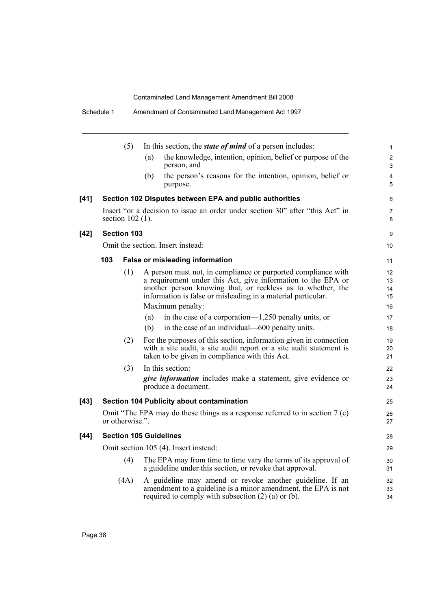|        |     | (5)                |     | In this section, the <i>state of mind</i> of a person includes:                                                                                                                                                                                              | $\mathbf{1}$         |
|--------|-----|--------------------|-----|--------------------------------------------------------------------------------------------------------------------------------------------------------------------------------------------------------------------------------------------------------------|----------------------|
|        |     |                    | (a) | the knowledge, intention, opinion, belief or purpose of the<br>person, and                                                                                                                                                                                   | $\overline{2}$<br>3  |
|        |     |                    | (b) | the person's reasons for the intention, opinion, belief or<br>purpose.                                                                                                                                                                                       | 4<br>5               |
| $[41]$ |     |                    |     | Section 102 Disputes between EPA and public authorities                                                                                                                                                                                                      | 6                    |
|        |     | section $102(1)$ . |     | Insert "or a decision to issue an order under section 30" after "this Act" in                                                                                                                                                                                | $\overline{7}$<br>8  |
| $[42]$ |     | <b>Section 103</b> |     |                                                                                                                                                                                                                                                              | 9                    |
|        |     |                    |     | Omit the section. Insert instead:                                                                                                                                                                                                                            | 10                   |
|        | 103 |                    |     | <b>False or misleading information</b>                                                                                                                                                                                                                       | 11                   |
|        |     | (1)                |     | A person must not, in compliance or purported compliance with<br>a requirement under this Act, give information to the EPA or<br>another person knowing that, or reckless as to whether, the<br>information is false or misleading in a material particular. | 12<br>13<br>14<br>15 |
|        |     |                    |     | Maximum penalty:                                                                                                                                                                                                                                             | 16                   |
|        |     |                    | (a) | in the case of a corporation— $1,250$ penalty units, or                                                                                                                                                                                                      | 17                   |
|        |     |                    | (b) | in the case of an individual—600 penalty units.                                                                                                                                                                                                              | 18                   |
|        |     | (2)                |     | For the purposes of this section, information given in connection<br>with a site audit, a site audit report or a site audit statement is<br>taken to be given in compliance with this Act.                                                                   | 19<br>20<br>21       |
|        |     | (3)                |     | In this section:                                                                                                                                                                                                                                             | 22                   |
|        |     |                    |     | <i>give information</i> includes make a statement, give evidence or<br>produce a document.                                                                                                                                                                   | 23<br>24             |
| $[43]$ |     |                    |     | Section 104 Publicity about contamination                                                                                                                                                                                                                    | 25                   |
|        |     | or otherwise.".    |     | Omit "The EPA may do these things as a response referred to in section $7(c)$                                                                                                                                                                                | 26<br>27             |
| $[44]$ |     |                    |     | <b>Section 105 Guidelines</b>                                                                                                                                                                                                                                | 28                   |
|        |     |                    |     | Omit section 105 (4). Insert instead:                                                                                                                                                                                                                        | 29                   |
|        |     | (4)                |     | The EPA may from time to time vary the terms of its approval of<br>a guideline under this section, or revoke that approval.                                                                                                                                  | 30<br>31             |
|        |     | (4A)               |     | A guideline may amend or revoke another guideline. If an<br>amendment to a guideline is a minor amendment, the EPA is not<br>required to comply with subsection $(2)$ (a) or (b).                                                                            | 32<br>33<br>34       |

Schedule 1 Amendment of Contaminated Land Management Act 1997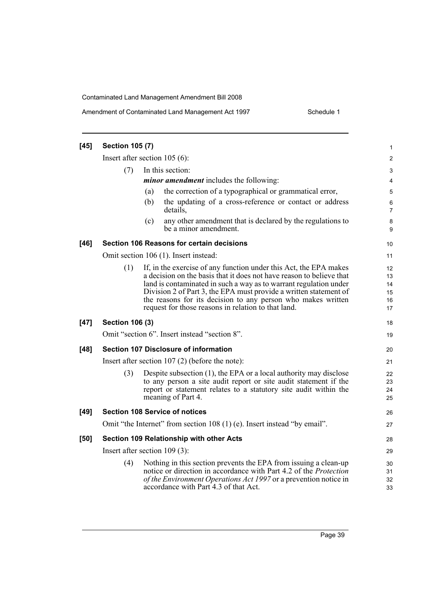Schedule 1

| $[45]$ | <b>Section 105 (7)</b>          |     |                                                                                                                                                                                                                                                                                                                                                                                                            | 1                                |
|--------|---------------------------------|-----|------------------------------------------------------------------------------------------------------------------------------------------------------------------------------------------------------------------------------------------------------------------------------------------------------------------------------------------------------------------------------------------------------------|----------------------------------|
|        | Insert after section $105(6)$ : |     |                                                                                                                                                                                                                                                                                                                                                                                                            | $\overline{c}$                   |
|        | (7)                             |     | In this section:                                                                                                                                                                                                                                                                                                                                                                                           | 3                                |
|        |                                 |     | <i>minor amendment</i> includes the following:                                                                                                                                                                                                                                                                                                                                                             | 4                                |
|        |                                 | (a) | the correction of a typographical or grammatical error,                                                                                                                                                                                                                                                                                                                                                    | 5                                |
|        |                                 | (b) | the updating of a cross-reference or contact or address<br>details,                                                                                                                                                                                                                                                                                                                                        | 6<br>7                           |
|        |                                 | (c) | any other amendment that is declared by the regulations to<br>be a minor amendment.                                                                                                                                                                                                                                                                                                                        | 8<br>9                           |
| $[46]$ |                                 |     | <b>Section 106 Reasons for certain decisions</b>                                                                                                                                                                                                                                                                                                                                                           | 10                               |
|        |                                 |     | Omit section 106 (1). Insert instead:                                                                                                                                                                                                                                                                                                                                                                      | 11                               |
|        | (1)                             |     | If, in the exercise of any function under this Act, the EPA makes<br>a decision on the basis that it does not have reason to believe that<br>land is contaminated in such a way as to warrant regulation under<br>Division 2 of Part 3, the EPA must provide a written statement of<br>the reasons for its decision to any person who makes written<br>request for those reasons in relation to that land. | 12<br>13<br>14<br>15<br>16<br>17 |
| $[47]$ | <b>Section 106 (3)</b>          |     |                                                                                                                                                                                                                                                                                                                                                                                                            | 18                               |
|        |                                 |     | Omit "section 6". Insert instead "section 8".                                                                                                                                                                                                                                                                                                                                                              | 19                               |
| $[48]$ |                                 |     | <b>Section 107 Disclosure of information</b>                                                                                                                                                                                                                                                                                                                                                               | 20                               |
|        |                                 |     | Insert after section $107(2)$ (before the note):                                                                                                                                                                                                                                                                                                                                                           | 21                               |
|        | (3)                             |     | Despite subsection $(1)$ , the EPA or a local authority may disclose<br>to any person a site audit report or site audit statement if the<br>report or statement relates to a statutory site audit within the<br>meaning of Part 4.                                                                                                                                                                         | 22<br>23<br>24<br>25             |
| $[49]$ |                                 |     | <b>Section 108 Service of notices</b>                                                                                                                                                                                                                                                                                                                                                                      | 26                               |
|        |                                 |     | Omit "the Internet" from section 108 (1) (e). Insert instead "by email".                                                                                                                                                                                                                                                                                                                                   | 27                               |
| [50]   |                                 |     | Section 109 Relationship with other Acts                                                                                                                                                                                                                                                                                                                                                                   | 28                               |
|        | Insert after section $109(3)$ : |     |                                                                                                                                                                                                                                                                                                                                                                                                            | 29                               |
|        | (4)                             |     | Nothing in this section prevents the EPA from issuing a clean-up<br>notice or direction in accordance with Part 4.2 of the <i>Protection</i><br>of the Environment Operations Act 1997 or a prevention notice in<br>accordance with Part 4.3 of that Act.                                                                                                                                                  | 30<br>31<br>32<br>33             |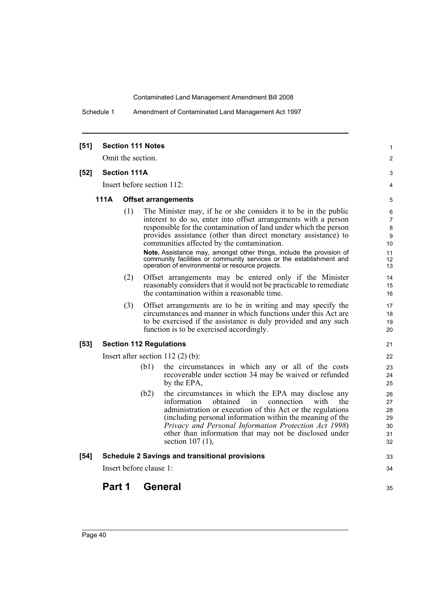Schedule 1 Amendment of Contaminated Land Management Act 1997

| $[51]$ |        |                     | <b>Section 111 Notes</b> |                                                                                                                                                                                                                                                                                                                                                                                                | 1                                      |
|--------|--------|---------------------|--------------------------|------------------------------------------------------------------------------------------------------------------------------------------------------------------------------------------------------------------------------------------------------------------------------------------------------------------------------------------------------------------------------------------------|----------------------------------------|
|        |        | Omit the section.   |                          |                                                                                                                                                                                                                                                                                                                                                                                                | 2                                      |
| $[52]$ |        | <b>Section 111A</b> |                          |                                                                                                                                                                                                                                                                                                                                                                                                | 3                                      |
|        |        |                     |                          | Insert before section 112:                                                                                                                                                                                                                                                                                                                                                                     | 4                                      |
|        | 111A   |                     |                          | <b>Offset arrangements</b>                                                                                                                                                                                                                                                                                                                                                                     | 5                                      |
|        |        | (1)                 |                          | The Minister may, if he or she considers it to be in the public<br>interest to do so, enter into offset arrangements with a person<br>responsible for the contamination of land under which the person<br>provides assistance (other than direct monetary assistance) to<br>communities affected by the contamination.<br>Note. Assistance may, amongst other things, include the provision of | 6<br>7<br>8<br>9<br>10<br>11           |
|        |        |                     |                          | community facilities or community services or the establishment and<br>operation of environmental or resource projects.                                                                                                                                                                                                                                                                        | 12<br>13                               |
|        |        | (2)                 |                          | Offset arrangements may be entered only if the Minister<br>reasonably considers that it would not be practicable to remediate<br>the contamination within a reasonable time.                                                                                                                                                                                                                   | 14<br>15<br>16                         |
|        |        | (3)                 |                          | Offset arrangements are to be in writing and may specify the<br>circumstances and manner in which functions under this Act are<br>to be exercised if the assistance is duly provided and any such<br>function is to be exercised accordingly.                                                                                                                                                  | 17<br>18<br>19<br>20                   |
| $[53]$ |        |                     |                          | <b>Section 112 Regulations</b>                                                                                                                                                                                                                                                                                                                                                                 | 21                                     |
|        |        |                     |                          | Insert after section $112(2)$ (b):                                                                                                                                                                                                                                                                                                                                                             | 22                                     |
|        |        |                     | (b1)                     | the circumstances in which any or all of the costs<br>recoverable under section 34 may be waived or refunded<br>by the EPA,                                                                                                                                                                                                                                                                    | 23<br>24<br>25                         |
|        |        |                     | (b2)                     | the circumstances in which the EPA may disclose any<br>information<br>obtained<br>connection<br>with<br>in<br>the<br>administration or execution of this Act or the regulations<br>(including personal information within the meaning of the<br>Privacy and Personal Information Protection Act 1998)<br>other than information that may not be disclosed under<br>section $107(1)$ ,          | 26<br>27<br>28<br>29<br>30<br>31<br>32 |
| $[54]$ |        |                     |                          | <b>Schedule 2 Savings and transitional provisions</b>                                                                                                                                                                                                                                                                                                                                          | 33                                     |
|        |        |                     | Insert before clause 1:  |                                                                                                                                                                                                                                                                                                                                                                                                | 34                                     |
|        | Part 1 |                     |                          | General                                                                                                                                                                                                                                                                                                                                                                                        | 35                                     |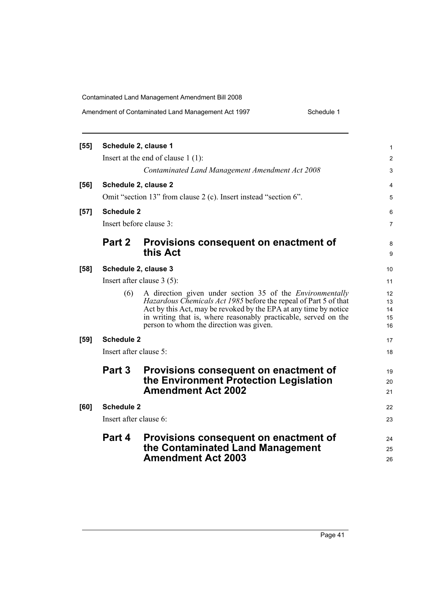| Amendment of Contaminated Land Management Act 1997 | Schedule 1 |
|----------------------------------------------------|------------|
|----------------------------------------------------|------------|

| $[55]$ | Schedule 2, clause 1   |                                                                                                                                                                                                                                                                                                                        | 1                          |  |  |  |
|--------|------------------------|------------------------------------------------------------------------------------------------------------------------------------------------------------------------------------------------------------------------------------------------------------------------------------------------------------------------|----------------------------|--|--|--|
|        |                        | Insert at the end of clause $1(1)$ :                                                                                                                                                                                                                                                                                   | 2                          |  |  |  |
|        |                        | Contaminated Land Management Amendment Act 2008                                                                                                                                                                                                                                                                        | 3                          |  |  |  |
| $[56]$ |                        | Schedule 2, clause 2                                                                                                                                                                                                                                                                                                   | 4                          |  |  |  |
|        |                        | Omit "section 13" from clause 2 (c). Insert instead "section 6".                                                                                                                                                                                                                                                       | 5                          |  |  |  |
| $[57]$ | <b>Schedule 2</b>      |                                                                                                                                                                                                                                                                                                                        | 6                          |  |  |  |
|        |                        | Insert before clause 3:                                                                                                                                                                                                                                                                                                | 7                          |  |  |  |
|        | Part 2                 | Provisions consequent on enactment of<br>this Act                                                                                                                                                                                                                                                                      | 8<br>9                     |  |  |  |
|        |                        |                                                                                                                                                                                                                                                                                                                        |                            |  |  |  |
| $[58]$ |                        | Schedule 2, clause 3                                                                                                                                                                                                                                                                                                   | 10                         |  |  |  |
|        |                        | Insert after clause $3(5)$ :                                                                                                                                                                                                                                                                                           | 11                         |  |  |  |
|        | (6)                    | A direction given under section 35 of the <i>Environmentally</i><br>Hazardous Chemicals Act 1985 before the repeal of Part 5 of that<br>Act by this Act, may be revoked by the EPA at any time by notice<br>in writing that is, where reasonably practicable, served on the<br>person to whom the direction was given. | 12<br>13<br>14<br>15<br>16 |  |  |  |
| $[59]$ | <b>Schedule 2</b>      |                                                                                                                                                                                                                                                                                                                        | 17                         |  |  |  |
|        | Insert after clause 5: |                                                                                                                                                                                                                                                                                                                        | 18                         |  |  |  |
|        | <b>Part 3</b>          | Provisions consequent on enactment of<br>the Environment Protection Legislation<br><b>Amendment Act 2002</b>                                                                                                                                                                                                           | 19<br>20<br>21             |  |  |  |
| [60]   | <b>Schedule 2</b>      |                                                                                                                                                                                                                                                                                                                        |                            |  |  |  |
|        | Insert after clause 6: |                                                                                                                                                                                                                                                                                                                        | 23                         |  |  |  |
|        |                        | Part 4 Provisions consequent on enactment of<br>the Contaminated Land Management<br><b>Amendment Act 2003</b>                                                                                                                                                                                                          | 24<br>25<br>26             |  |  |  |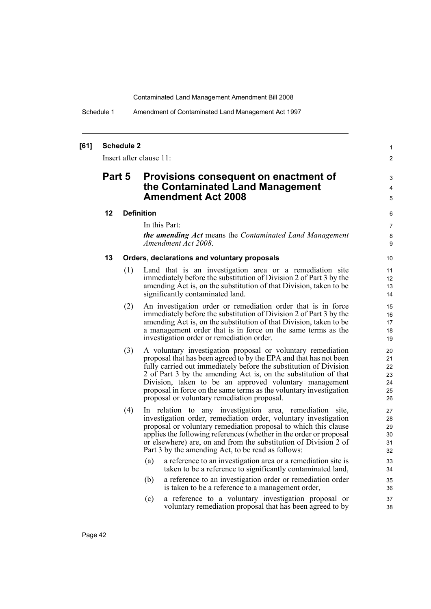Schedule 1 Amendment of Contaminated Land Management Act 1997

#### **[61] Schedule 2**

Insert after clause 11:

### **Part 5 Provisions consequent on enactment of the Contaminated Land Management Amendment Act 2008**

#### **12 Definition**

In this Part:

*the amending Act* means the *Contaminated Land Management Amendment Act 2008*.

1  $\mathfrak{p}$ 

3 4 5

#### **13 Orders, declarations and voluntary proposals**

- (1) Land that is an investigation area or a remediation site immediately before the substitution of Division 2 of Part 3 by the amending Act is, on the substitution of that Division, taken to be significantly contaminated land.
- (2) An investigation order or remediation order that is in force immediately before the substitution of Division 2 of Part 3 by the amending Act is, on the substitution of that Division, taken to be a management order that is in force on the same terms as the investigation order or remediation order.
- (3) A voluntary investigation proposal or voluntary remediation proposal that has been agreed to by the EPA and that has not been fully carried out immediately before the substitution of Division 2 of Part 3 by the amending Act is, on the substitution of that Division, taken to be an approved voluntary management proposal in force on the same terms as the voluntary investigation proposal or voluntary remediation proposal.
- (4) In relation to any investigation area, remediation site, investigation order, remediation order, voluntary investigation proposal or voluntary remediation proposal to which this clause applies the following references (whether in the order or proposal or elsewhere) are, on and from the substitution of Division 2 of Part 3 by the amending Act, to be read as follows:
	- (a) a reference to an investigation area or a remediation site is taken to be a reference to significantly contaminated land,
	- (b) a reference to an investigation order or remediation order is taken to be a reference to a management order,
	- (c) a reference to a voluntary investigation proposal or voluntary remediation proposal that has been agreed to by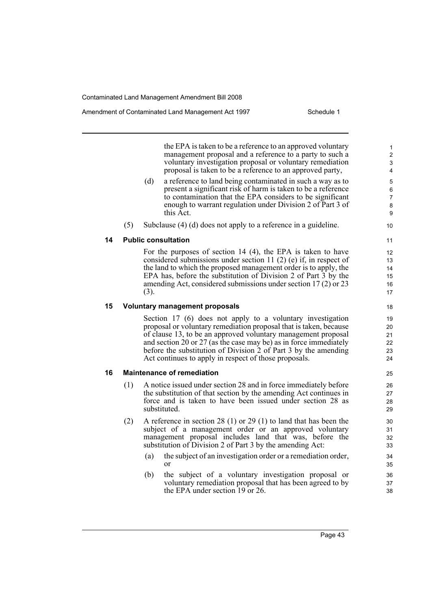the EPA is taken to be a reference to an approved voluntary management proposal and a reference to a party to such a voluntary investigation proposal or voluntary remediation proposal is taken to be a reference to an approved party,

- (d) a reference to land being contaminated in such a way as to present a significant risk of harm is taken to be a reference to contamination that the EPA considers to be significant enough to warrant regulation under Division 2 of Part 3 of this Act.
- (5) Subclause (4) (d) does not apply to a reference in a guideline.

#### **14 Public consultation**

For the purposes of section 14 (4), the EPA is taken to have considered submissions under section 11 (2) (e) if, in respect of the land to which the proposed management order is to apply, the EPA has, before the substitution of Division 2 of Part 3 by the amending Act, considered submissions under section 17 (2) or 23 (3).

#### **15 Voluntary management proposals**

Section 17 (6) does not apply to a voluntary investigation proposal or voluntary remediation proposal that is taken, because of clause 13, to be an approved voluntary management proposal and section 20 or 27 (as the case may be) as in force immediately before the substitution of Division 2 of Part 3 by the amending Act continues to apply in respect of those proposals.

#### **16 Maintenance of remediation**

- (1) A notice issued under section 28 and in force immediately before the substitution of that section by the amending Act continues in force and is taken to have been issued under section 28 as substituted.
- (2) A reference in section 28 (1) or 29 (1) to land that has been the subject of a management order or an approved voluntary management proposal includes land that was, before the substitution of Division 2 of Part 3 by the amending Act:
	- (a) the subject of an investigation order or a remediation order, or
	- (b) the subject of a voluntary investigation proposal or voluntary remediation proposal that has been agreed to by the EPA under section 19 or 26.

Page 43

10 11 12

 $24$ 

25 26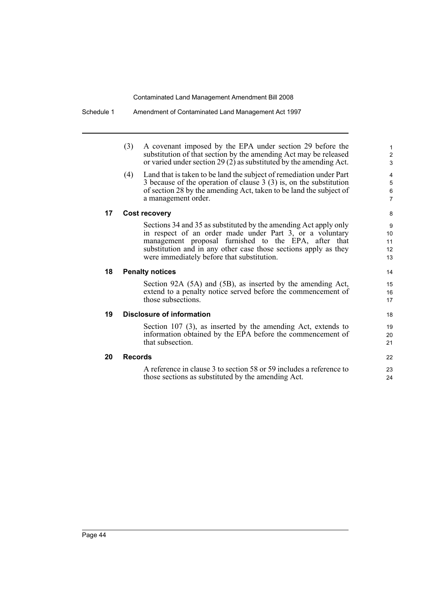|    | (3)<br>A covenant imposed by the EPA under section 29 before the           | $\mathbf{1}$              |
|----|----------------------------------------------------------------------------|---------------------------|
|    | substitution of that section by the amending Act may be released           | $\boldsymbol{2}$          |
|    | or varied under section 29 (2) as substituted by the amending Act.         | $\mathfrak{S}$            |
|    | Land that is taken to be land the subject of remediation under Part<br>(4) | 4                         |
|    | 3 because of the operation of clause $3(3)$ is, on the substitution        | 5                         |
|    | of section 28 by the amending Act, taken to be land the subject of         | $\,6\,$<br>$\overline{7}$ |
|    | a management order.                                                        |                           |
| 17 | <b>Cost recovery</b>                                                       | 8                         |
|    | Sections 34 and 35 as substituted by the amending Act apply only           | 9                         |
|    | in respect of an order made under Part 3, or a voluntary                   | 10                        |
|    | management proposal furnished to the EPA, after that                       | 11                        |
|    | substitution and in any other case those sections apply as they            | 12                        |
|    | were immediately before that substitution.                                 | 13                        |
| 18 | <b>Penalty notices</b>                                                     | 14                        |
|    | Section 92A (5A) and (5B), as inserted by the amending Act,                | 15                        |
|    | extend to a penalty notice served before the commencement of               | 16                        |
|    | those subsections.                                                         | 17                        |
| 19 | <b>Disclosure of information</b>                                           | 18                        |
|    | Section 107 (3), as inserted by the amending Act, extends to               | 19                        |
|    | information obtained by the EPA before the commencement of                 | 20                        |
|    | that subsection.                                                           | 21                        |
| 20 | <b>Records</b>                                                             | 22                        |
|    | A reference in clause 3 to section 58 or 59 includes a reference to        | 23                        |
|    | those sections as substituted by the amending Act.                         | 24                        |

Schedule 1 Amendment of Contaminated Land Management Act 1997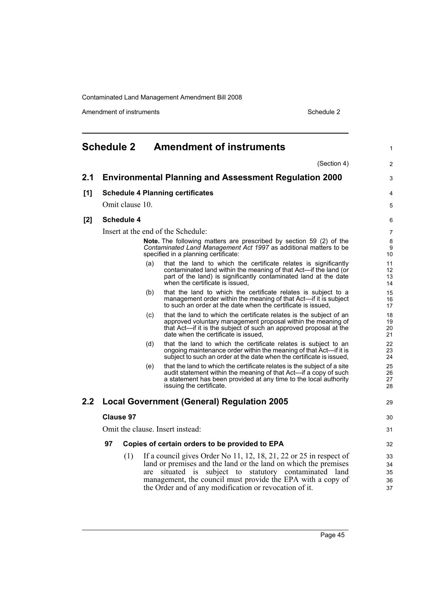Amendment of instruments **Schedule 2** Schedule 2

<span id="page-54-0"></span>

|     | <b>Schedule 2</b> |                   |     | <b>Amendment of instruments</b>                                                                                                                                                                                                                                                                                      | $\mathbf{1}$               |
|-----|-------------------|-------------------|-----|----------------------------------------------------------------------------------------------------------------------------------------------------------------------------------------------------------------------------------------------------------------------------------------------------------------------|----------------------------|
|     |                   |                   |     | (Section 4)                                                                                                                                                                                                                                                                                                          | $\overline{2}$             |
| 2.1 |                   |                   |     | <b>Environmental Planning and Assessment Regulation 2000</b>                                                                                                                                                                                                                                                         | 3                          |
| [1] |                   |                   |     | <b>Schedule 4 Planning certificates</b>                                                                                                                                                                                                                                                                              | 4                          |
|     |                   | Omit clause 10.   |     |                                                                                                                                                                                                                                                                                                                      | 5                          |
| [2] |                   | <b>Schedule 4</b> |     |                                                                                                                                                                                                                                                                                                                      | 6                          |
|     |                   |                   |     | Insert at the end of the Schedule:                                                                                                                                                                                                                                                                                   | 7                          |
|     |                   |                   |     | Note. The following matters are prescribed by section 59 (2) of the<br>Contaminated Land Management Act 1997 as additional matters to be<br>specified in a planning certificate:                                                                                                                                     | 8<br>9<br>10               |
|     |                   |                   | (a) | that the land to which the certificate relates is significantly<br>contaminated land within the meaning of that Act—if the land (or<br>part of the land) is significantly contaminated land at the date<br>when the certificate is issued,                                                                           | 11<br>12<br>13<br>14       |
|     |                   |                   | (b) | that the land to which the certificate relates is subject to a<br>management order within the meaning of that Act—if it is subject<br>to such an order at the date when the certificate is issued.                                                                                                                   | 15<br>16<br>17             |
|     |                   |                   | (c) | that the land to which the certificate relates is the subject of an<br>approved voluntary management proposal within the meaning of<br>that Act—if it is the subject of such an approved proposal at the<br>date when the certificate is issued.                                                                     | 18<br>19<br>20<br>21       |
|     |                   |                   | (d) | that the land to which the certificate relates is subject to an<br>ongoing maintenance order within the meaning of that Act—if it is<br>subject to such an order at the date when the certificate is issued,                                                                                                         | 22<br>23<br>24             |
|     |                   |                   | (e) | that the land to which the certificate relates is the subject of a site<br>audit statement within the meaning of that Act-if a copy of such<br>a statement has been provided at any time to the local authority<br>issuing the certificate.                                                                          | 25<br>26<br>27<br>28       |
| 2.2 |                   |                   |     | <b>Local Government (General) Regulation 2005</b>                                                                                                                                                                                                                                                                    | 29                         |
|     | <b>Clause 97</b>  |                   |     |                                                                                                                                                                                                                                                                                                                      | 30                         |
|     |                   |                   |     | Omit the clause. Insert instead:                                                                                                                                                                                                                                                                                     | 31                         |
|     | 97                |                   |     | Copies of certain orders to be provided to EPA                                                                                                                                                                                                                                                                       | 32                         |
|     |                   | (1)               | are | If a council gives Order No 11, 12, 18, 21, 22 or 25 in respect of<br>land or premises and the land or the land on which the premises<br>situated is subject to statutory contaminated land<br>management, the council must provide the EPA with a copy of<br>the Order and of any modification or revocation of it. | 33<br>34<br>35<br>36<br>37 |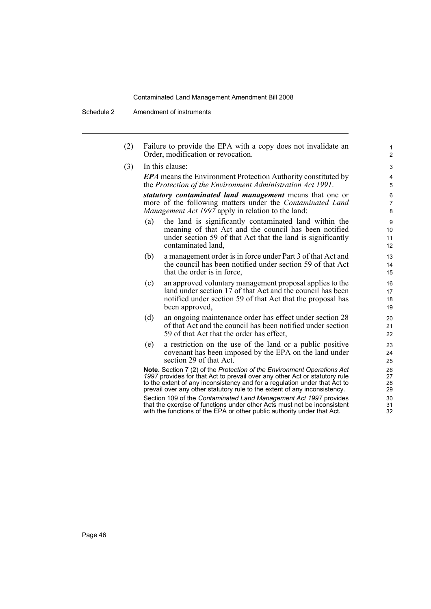Schedule 2 Amendment of instruments

(2) Failure to provide the EPA with a copy does not invalidate an Order, modification or revocation.

(3) In this clause:

*EPA* means the Environment Protection Authority constituted by the *Protection of the Environment Administration Act 1991*.

*statutory contaminated land management* means that one or more of the following matters under the *Contaminated Land Management Act 1997* apply in relation to the land:

- (a) the land is significantly contaminated land within the meaning of that Act and the council has been notified under section 59 of that Act that the land is significantly contaminated land,
- (b) a management order is in force under Part 3 of that Act and the council has been notified under section 59 of that Act that the order is in force,
- (c) an approved voluntary management proposal applies to the land under section 17 of that Act and the council has been notified under section 59 of that Act that the proposal has been approved,
- (d) an ongoing maintenance order has effect under section 28 of that Act and the council has been notified under section 59 of that Act that the order has effect,
- (e) a restriction on the use of the land or a public positive covenant has been imposed by the EPA on the land under section 29 of that Act.

**Note.** Section 7 (2) of the *Protection of the Environment Operations Act 1997* provides for that Act to prevail over any other Act or statutory rule to the extent of any inconsistency and for a regulation under that Act to prevail over any other statutory rule to the extent of any inconsistency.

Section 109 of the *Contaminated Land Management Act 1997* provides that the exercise of functions under other Acts must not be inconsistent with the functions of the EPA or other public authority under that Act.

1 2 3